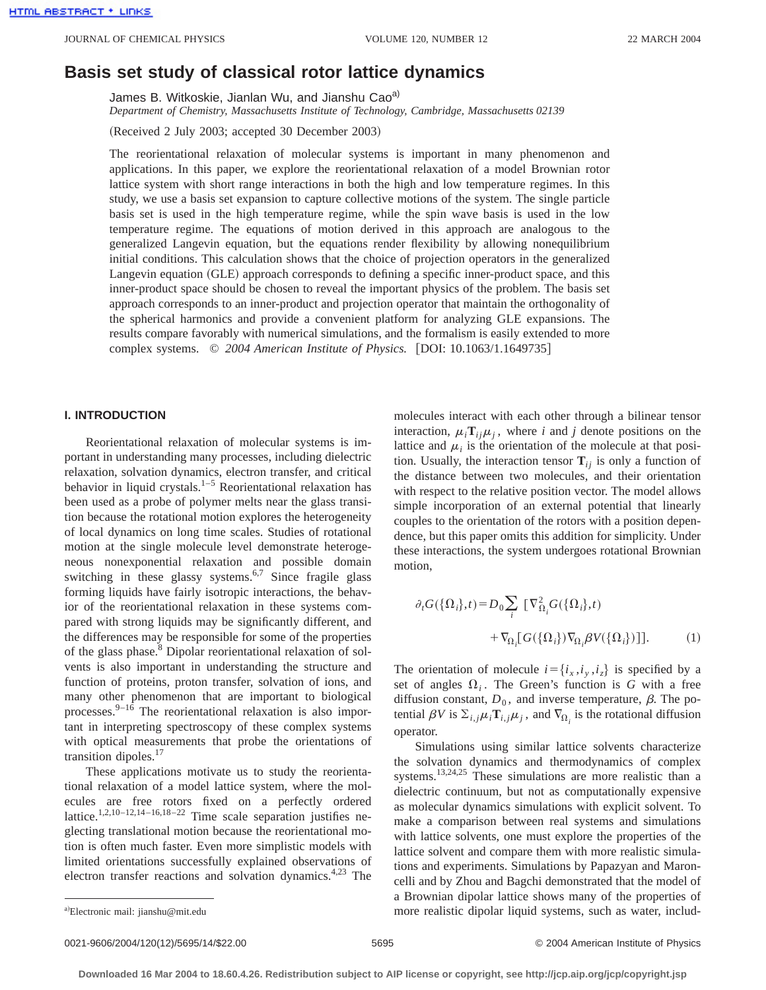# **Basis set study of classical rotor lattice dynamics**

James B. Witkoskie, Jianlan Wu, and Jianshu Cao<sup>a)</sup> *Department of Chemistry, Massachusetts Institute of Technology, Cambridge, Massachusetts 02139*

(Received 2 July 2003; accepted 30 December 2003)

The reorientational relaxation of molecular systems is important in many phenomenon and applications. In this paper, we explore the reorientational relaxation of a model Brownian rotor lattice system with short range interactions in both the high and low temperature regimes. In this study, we use a basis set expansion to capture collective motions of the system. The single particle basis set is used in the high temperature regime, while the spin wave basis is used in the low temperature regime. The equations of motion derived in this approach are analogous to the generalized Langevin equation, but the equations render flexibility by allowing nonequilibrium initial conditions. This calculation shows that the choice of projection operators in the generalized Langevin equation (GLE) approach corresponds to defining a specific inner-product space, and this inner-product space should be chosen to reveal the important physics of the problem. The basis set approach corresponds to an inner-product and projection operator that maintain the orthogonality of the spherical harmonics and provide a convenient platform for analyzing GLE expansions. The results compare favorably with numerical simulations, and the formalism is easily extended to more complex systems.  $\odot$  2004 American Institute of Physics. [DOI: 10.1063/1.1649735]

# **I. INTRODUCTION**

Reorientational relaxation of molecular systems is important in understanding many processes, including dielectric relaxation, solvation dynamics, electron transfer, and critical behavior in liquid crystals.<sup>1–5</sup> Reorientational relaxation has been used as a probe of polymer melts near the glass transition because the rotational motion explores the heterogeneity of local dynamics on long time scales. Studies of rotational motion at the single molecule level demonstrate heterogeneous nonexponential relaxation and possible domain switching in these glassy systems. $6,7$  Since fragile glass forming liquids have fairly isotropic interactions, the behavior of the reorientational relaxation in these systems compared with strong liquids may be significantly different, and the differences may be responsible for some of the properties of the glass phase.<sup>8</sup> Dipolar reorientational relaxation of solvents is also important in understanding the structure and function of proteins, proton transfer, solvation of ions, and many other phenomenon that are important to biological processes. $9-16$  The reorientational relaxation is also important in interpreting spectroscopy of these complex systems with optical measurements that probe the orientations of transition dipoles.<sup>17</sup>

These applications motivate us to study the reorientational relaxation of a model lattice system, where the molecules are free rotors fixed on a perfectly ordered lattice.<sup>1,2,10–12,14–16,18–22</sup> Time scale separation justifies neglecting translational motion because the reorientational motion is often much faster. Even more simplistic models with limited orientations successfully explained observations of electron transfer reactions and solvation dynamics.4,23 The molecules interact with each other through a bilinear tensor interaction,  $\mu_i \mathbf{T}_{ij} \mu_j$ , where *i* and *j* denote positions on the lattice and  $\mu_i$  is the orientation of the molecule at that position. Usually, the interaction tensor  $\mathbf{T}_{ii}$  is only a function of the distance between two molecules, and their orientation with respect to the relative position vector. The model allows simple incorporation of an external potential that linearly couples to the orientation of the rotors with a position dependence, but this paper omits this addition for simplicity. Under these interactions, the system undergoes rotational Brownian motion,

$$
\partial_t G(\{\Omega_i\}, t) = D_0 \sum_i \left[ \nabla_{\Omega_i}^2 G(\{\Omega_i\}, t) + \nabla_{\Omega_i} [ G(\{\Omega_i\}) \nabla_{\Omega_i} \beta V(\{\Omega_i\}) ] \right].
$$
 (1)

The orientation of molecule  $i = \{i_x, i_y, i_z\}$  is specified by a set of angles  $\Omega_i$ . The Green's function is G with a free diffusion constant,  $D_0$ , and inverse temperature,  $\beta$ . The potential  $\beta V$  is  $\Sigma_{i,j}\mu_i \mathbf{T}_{i,j}\mu_j$ , and  $\nabla_{\Omega_i}$  is the rotational diffusion operator.

Simulations using similar lattice solvents characterize the solvation dynamics and thermodynamics of complex systems.<sup>13,24,25</sup> These simulations are more realistic than a dielectric continuum, but not as computationally expensive as molecular dynamics simulations with explicit solvent. To make a comparison between real systems and simulations with lattice solvents, one must explore the properties of the lattice solvent and compare them with more realistic simulations and experiments. Simulations by Papazyan and Maroncelli and by Zhou and Bagchi demonstrated that the model of a Brownian dipolar lattice shows many of the properties of more realistic dipolar liquid systems, such as water, includ-

0021-9606/2004/120(12)/5695/14/\$22.00 5695 5695 5695 695 5695 5695 5696 62004 American Institute of Physics

Electronic mail: jianshu@mit.edu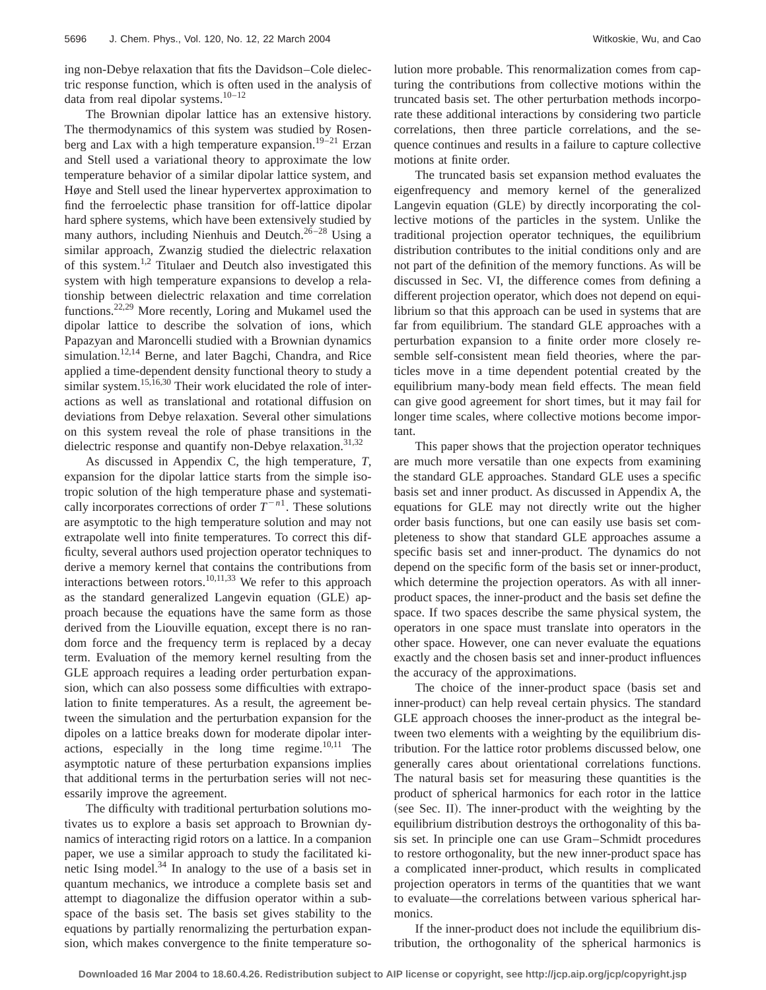ing non-Debye relaxation that fits the Davidson–Cole dielectric response function, which is often used in the analysis of data from real dipolar systems. $10-12$ 

The Brownian dipolar lattice has an extensive history. The thermodynamics of this system was studied by Rosenberg and Lax with a high temperature expansion.<sup>19–21</sup> Erzan and Stell used a variational theory to approximate the low temperature behavior of a similar dipolar lattice system, and Høye and Stell used the linear hypervertex approximation to find the ferroelectic phase transition for off-lattice dipolar hard sphere systems, which have been extensively studied by many authors, including Nienhuis and Deutch.<sup>26–28</sup> Using a similar approach, Zwanzig studied the dielectric relaxation of this system.1,2 Titulaer and Deutch also investigated this system with high temperature expansions to develop a relationship between dielectric relaxation and time correlation functions.22,29 More recently, Loring and Mukamel used the dipolar lattice to describe the solvation of ions, which Papazyan and Maroncelli studied with a Brownian dynamics simulation.<sup>12,14</sup> Berne, and later Bagchi, Chandra, and Rice applied a time-dependent density functional theory to study a similar system.<sup>15,16,30</sup> Their work elucidated the role of interactions as well as translational and rotational diffusion on deviations from Debye relaxation. Several other simulations on this system reveal the role of phase transitions in the dielectric response and quantify non-Debye relaxation.<sup>31,32</sup>

As discussed in Appendix C, the high temperature, *T*, expansion for the dipolar lattice starts from the simple isotropic solution of the high temperature phase and systematically incorporates corrections of order  $T^{-n}$ <sup>1</sup>. These solutions are asymptotic to the high temperature solution and may not extrapolate well into finite temperatures. To correct this difficulty, several authors used projection operator techniques to derive a memory kernel that contains the contributions from interactions between rotors.<sup>10,11,33</sup> We refer to this approach as the standard generalized Langevin equation (GLE) approach because the equations have the same form as those derived from the Liouville equation, except there is no random force and the frequency term is replaced by a decay term. Evaluation of the memory kernel resulting from the GLE approach requires a leading order perturbation expansion, which can also possess some difficulties with extrapolation to finite temperatures. As a result, the agreement between the simulation and the perturbation expansion for the dipoles on a lattice breaks down for moderate dipolar interactions, especially in the long time regime. $10,11$  The asymptotic nature of these perturbation expansions implies that additional terms in the perturbation series will not necessarily improve the agreement.

The difficulty with traditional perturbation solutions motivates us to explore a basis set approach to Brownian dynamics of interacting rigid rotors on a lattice. In a companion paper, we use a similar approach to study the facilitated kinetic Ising model. $34$  In analogy to the use of a basis set in quantum mechanics, we introduce a complete basis set and attempt to diagonalize the diffusion operator within a subspace of the basis set. The basis set gives stability to the equations by partially renormalizing the perturbation expansion, which makes convergence to the finite temperature solution more probable. This renormalization comes from capturing the contributions from collective motions within the truncated basis set. The other perturbation methods incorporate these additional interactions by considering two particle correlations, then three particle correlations, and the sequence continues and results in a failure to capture collective motions at finite order.

The truncated basis set expansion method evaluates the eigenfrequency and memory kernel of the generalized Langevin equation (GLE) by directly incorporating the collective motions of the particles in the system. Unlike the traditional projection operator techniques, the equilibrium distribution contributes to the initial conditions only and are not part of the definition of the memory functions. As will be discussed in Sec. VI, the difference comes from defining a different projection operator, which does not depend on equilibrium so that this approach can be used in systems that are far from equilibrium. The standard GLE approaches with a perturbation expansion to a finite order more closely resemble self-consistent mean field theories, where the particles move in a time dependent potential created by the equilibrium many-body mean field effects. The mean field can give good agreement for short times, but it may fail for longer time scales, where collective motions become important.

This paper shows that the projection operator techniques are much more versatile than one expects from examining the standard GLE approaches. Standard GLE uses a specific basis set and inner product. As discussed in Appendix A, the equations for GLE may not directly write out the higher order basis functions, but one can easily use basis set completeness to show that standard GLE approaches assume a specific basis set and inner-product. The dynamics do not depend on the specific form of the basis set or inner-product, which determine the projection operators. As with all innerproduct spaces, the inner-product and the basis set define the space. If two spaces describe the same physical system, the operators in one space must translate into operators in the other space. However, one can never evaluate the equations exactly and the chosen basis set and inner-product influences the accuracy of the approximations.

The choice of the inner-product space (basis set and inner-product) can help reveal certain physics. The standard GLE approach chooses the inner-product as the integral between two elements with a weighting by the equilibrium distribution. For the lattice rotor problems discussed below, one generally cares about orientational correlations functions. The natural basis set for measuring these quantities is the product of spherical harmonics for each rotor in the lattice (see Sec. II). The inner-product with the weighting by the equilibrium distribution destroys the orthogonality of this basis set. In principle one can use Gram–Schmidt procedures to restore orthogonality, but the new inner-product space has a complicated inner-product, which results in complicated projection operators in terms of the quantities that we want to evaluate—the correlations between various spherical harmonics.

If the inner-product does not include the equilibrium distribution, the orthogonality of the spherical harmonics is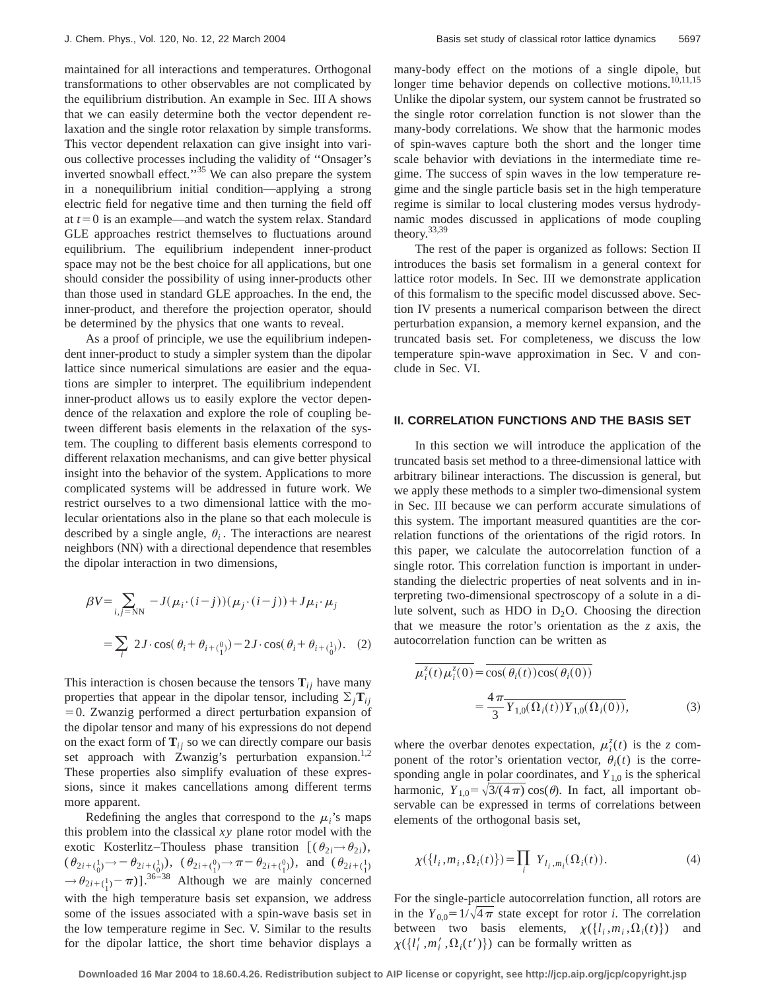maintained for all interactions and temperatures. Orthogonal transformations to other observables are not complicated by the equilibrium distribution. An example in Sec. III A shows that we can easily determine both the vector dependent relaxation and the single rotor relaxation by simple transforms. This vector dependent relaxation can give insight into various collective processes including the validity of ''Onsager's inverted snowball effect.''35 We can also prepare the system in a nonequilibrium initial condition—applying a strong electric field for negative time and then turning the field off at  $t=0$  is an example—and watch the system relax. Standard GLE approaches restrict themselves to fluctuations around equilibrium. The equilibrium independent inner-product space may not be the best choice for all applications, but one should consider the possibility of using inner-products other than those used in standard GLE approaches. In the end, the inner-product, and therefore the projection operator, should be determined by the physics that one wants to reveal.

As a proof of principle, we use the equilibrium independent inner-product to study a simpler system than the dipolar lattice since numerical simulations are easier and the equations are simpler to interpret. The equilibrium independent inner-product allows us to easily explore the vector dependence of the relaxation and explore the role of coupling between different basis elements in the relaxation of the system. The coupling to different basis elements correspond to different relaxation mechanisms, and can give better physical insight into the behavior of the system. Applications to more complicated systems will be addressed in future work. We restrict ourselves to a two dimensional lattice with the molecular orientations also in the plane so that each molecule is described by a single angle,  $\theta_i$ . The interactions are nearest neighbors (NN) with a directional dependence that resembles the dipolar interaction in two dimensions,

$$
\beta V = \sum_{i,j=\text{NN}} -J(\mu_i \cdot (i-j))(\mu_j \cdot (i-j)) + J\mu_i \cdot \mu_j
$$
  
= 
$$
\sum_{i} 2J \cdot \cos(\theta_i + \theta_{i+(\binom{0}{1})} - 2J \cdot \cos(\theta_i + \theta_{i+(\binom{1}{0})}).
$$
 (2)

This interaction is chosen because the tensors  $\mathbf{T}_{ij}$  have many properties that appear in the dipolar tensor, including  $\Sigma_i \mathbf{T}_{ii}$  $=0$ . Zwanzig performed a direct perturbation expansion of the dipolar tensor and many of his expressions do not depend on the exact form of  $\mathbf{T}_{ii}$  so we can directly compare our basis set approach with Zwanzig's perturbation expansion.<sup>1,2</sup> These properties also simplify evaluation of these expressions, since it makes cancellations among different terms more apparent.

Redefining the angles that correspond to the  $\mu_i$ 's maps this problem into the classical *xy* plane rotor model with the exotic Kosterlitz–Thouless phase transition  $[(\theta_{2i} \rightarrow \theta_{2i}),$  $(\theta_{2i+\binom{1}{0}} \rightarrow -\theta_{2i+\binom{1}{0}}), \ (\theta_{2i+\binom{0}{1}} \rightarrow \pi - \theta_{2i+\binom{0}{1}}), \text{ and } (\theta_{2i+\binom{1}{1}})$  $\rightarrow \theta_{2i+({}^{1}_{1})} - \pi)$ ].<sup>36–38</sup> Although we are mainly concerned with the high temperature basis set expansion, we address some of the issues associated with a spin-wave basis set in the low temperature regime in Sec. V. Similar to the results for the dipolar lattice, the short time behavior displays a

many-body effect on the motions of a single dipole, but longer time behavior depends on collective motions.<sup>10,11,15</sup> Unlike the dipolar system, our system cannot be frustrated so the single rotor correlation function is not slower than the many-body correlations. We show that the harmonic modes of spin-waves capture both the short and the longer time scale behavior with deviations in the intermediate time regime. The success of spin waves in the low temperature regime and the single particle basis set in the high temperature regime is similar to local clustering modes versus hydrodynamic modes discussed in applications of mode coupling theory.33,39

The rest of the paper is organized as follows: Section II introduces the basis set formalism in a general context for lattice rotor models. In Sec. III we demonstrate application of this formalism to the specific model discussed above. Section IV presents a numerical comparison between the direct perturbation expansion, a memory kernel expansion, and the truncated basis set. For completeness, we discuss the low temperature spin-wave approximation in Sec. V and conclude in Sec. VI.

# **II. CORRELATION FUNCTIONS AND THE BASIS SET**

In this section we will introduce the application of the truncated basis set method to a three-dimensional lattice with arbitrary bilinear interactions. The discussion is general, but we apply these methods to a simpler two-dimensional system in Sec. III because we can perform accurate simulations of this system. The important measured quantities are the correlation functions of the orientations of the rigid rotors. In this paper, we calculate the autocorrelation function of a single rotor. This correlation function is important in understanding the dielectric properties of neat solvents and in interpreting two-dimensional spectroscopy of a solute in a dilute solvent, such as HDO in  $D_2O$ . Choosing the direction that we measure the rotor's orientation as the *z* axis, the autocorrelation function can be written as

$$
\mu_i^z(t)\mu_i^z(0) = \overline{\cos(\theta_i(t))\cos(\theta_i(0))}
$$
  
= 
$$
\frac{4\pi}{3} \overline{Y_{1,0}(\Omega_i(t))Y_{1,0}(\Omega_i(0))},
$$
 (3)

where the overbar denotes expectation,  $\mu_i^z(t)$  is the *z* component of the rotor's orientation vector,  $\theta_i(t)$  is the corresponding angle in polar coordinates, and  $Y_{1,0}$  is the spherical harmonic,  $Y_{1,0} = \sqrt{3/(4 \pi)} \cos(\theta)$ . In fact, all important observable can be expressed in terms of correlations between elements of the orthogonal basis set,

$$
\chi(\lbrace l_i, m_i, \Omega_i(t) \rbrace) = \prod_i Y_{l_i, m_i}(\Omega_i(t)). \tag{4}
$$

For the single-particle autocorrelation function, all rotors are in the  $Y_{0,0} = 1/\sqrt{4\pi}$  state except for rotor *i*. The correlation between two basis elements,  $\chi({l_i, m_i, \Omega_i(t)})$  and  $\chi(\lbrace l'_i, m'_i, \Omega_i(t') \rbrace)$  can be formally written as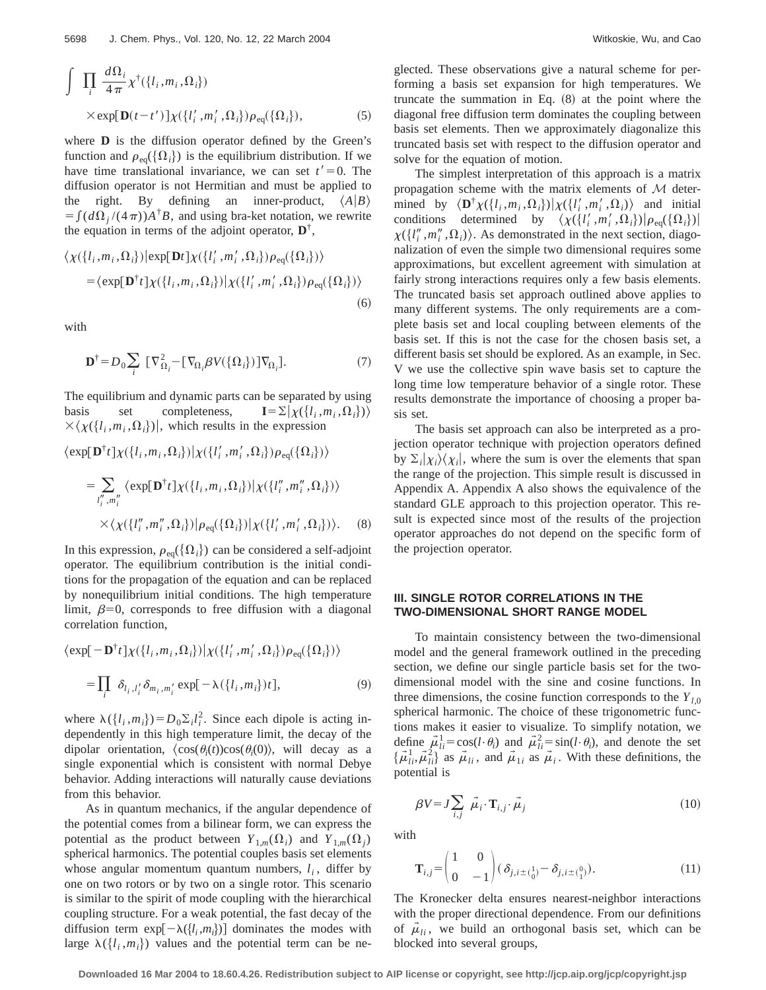$$
\int \prod_{i} \frac{d\Omega_{i}}{4\pi} \chi^{\dagger}(\{l_{i}, m_{i}, \Omega_{i}\})
$$
  
× $\exp[\mathbf{D}(t-t')] \chi(\{l'_{i}, m'_{i}, \Omega_{i}\}) \rho_{\text{eq}}(\{\Omega_{i}\}),$  (5)

where **D** is the diffusion operator defined by the Green's function and  $\rho_{eq}(\{\Omega_i\})$  is the equilibrium distribution. If we have time translational invariance, we can set  $t'=0$ . The diffusion operator is not Hermitian and must be applied to the right. By defining an inner-product,  $\langle A|B \rangle$  $= \int (d\Omega_i/(4\pi))A^{\dagger}B$ , and using bra-ket notation, we rewrite the equation in terms of the adjoint operator, **D**†,

$$
\langle \chi(\{l_i, m_i, \Omega_i\}) | \exp[\mathbf{D}t] \chi(\{l'_i, m'_i, \Omega_i\}) \rho_{\text{eq}}(\{\Omega_i\}) \rangle
$$
  
= 
$$
\langle \exp[\mathbf{D}^\dagger t] \chi(\{l_i, m_i, \Omega_i\}) | \chi(\{l'_i, m'_i, \Omega_i\}) \rho_{\text{eq}}(\{\Omega_i\}) \rangle
$$
  
(6)

with

$$
\mathbf{D}^{\dagger} = D_0 \sum_{i} [\nabla_{\Omega_i}^2 - [\nabla_{\Omega_i} \beta V(\{\Omega_i\})] \nabla_{\Omega_i}]. \tag{7}
$$

The equilibrium and dynamic parts can be separated by using basis set completeness,  $\mathbf{I} = \sum |\chi(\{l_i, m_i, \Omega_i\})\rangle$  $\times \langle \chi(\{l_i, m_i, \Omega_i\})|$ , which results in the expression

$$
\langle \exp[\mathbf{D}^{\dagger}t] \chi(\{l_i, m_i, \Omega_i\}) | \chi(\{l'_i, m'_i, \Omega_i\}) \rho_{eq}(\{\Omega_i\}) \rangle
$$
  
= 
$$
\sum_{l''_i, m''_i} \langle \exp[\mathbf{D}^{\dagger}t] \chi(\{l_i, m_i, \Omega_i\}) | \chi(\{l''_i, m''_i, \Omega_i\}) \rangle
$$
  

$$
\times \langle \chi(\{l''_i, m''_i, \Omega_i\}) | \rho_{eq}(\{\Omega_i\}) | \chi(\{l'_i, m'_i, \Omega_i\}) \rangle. \tag{8}
$$

In this expression,  $\rho_{eq}(\{\Omega_i\})$  can be considered a self-adjoint operator. The equilibrium contribution is the initial conditions for the propagation of the equation and can be replaced by nonequilibrium initial conditions. The high temperature limit,  $\beta=0$ , corresponds to free diffusion with a diagonal correlation function,

$$
\langle \exp[-\mathbf{D}^{\dagger}t] \chi(\{l_i, m_i, \Omega_i\}) | \chi(\{l'_i, m'_i, \Omega_i\}) \rho_{\text{eq}}(\{\Omega_i\}) \rangle
$$
  
= 
$$
\prod_i \delta_{l_i, l'_i} \delta_{m_i, m'_i} \exp[-\lambda(\{l_i, m_i\})t],
$$
 (9)

where  $\lambda({l_i, m_i}) = D_0 \Sigma_i l_i^2$ . Since each dipole is acting independently in this high temperature limit, the decay of the dipolar orientation,  $\langle \cos(\theta_i(t))\cos(\theta_i(0)) \rangle$ , will decay as a single exponential which is consistent with normal Debye behavior. Adding interactions will naturally cause deviations from this behavior.

As in quantum mechanics, if the angular dependence of the potential comes from a bilinear form, we can express the potential as the product between  $Y_{1,m}(\Omega_i)$  and  $Y_{1,m}(\Omega_i)$ spherical harmonics. The potential couples basis set elements whose angular momentum quantum numbers,  $l_i$ , differ by one on two rotors or by two on a single rotor. This scenario is similar to the spirit of mode coupling with the hierarchical coupling structure. For a weak potential, the fast decay of the diffusion term  $exp[-\lambda({l_i},m_i])]$  dominates the modes with large  $\lambda(\{l_i, m_i\})$  values and the potential term can be neglected. These observations give a natural scheme for performing a basis set expansion for high temperatures. We truncate the summation in Eq.  $(8)$  at the point where the diagonal free diffusion term dominates the coupling between basis set elements. Then we approximately diagonalize this truncated basis set with respect to the diffusion operator and solve for the equation of motion.

The simplest interpretation of this approach is a matrix propagation scheme with the matrix elements of  $\mathcal M$  determined by  $\langle \mathbf{D}^{\dagger}\chi(\{l_i, m_i, \Omega_i\})|\chi(\{l'_i, m'_i, \Omega_i\})\rangle$  and initial conditions determined by  $\langle \chi(\lbrace l'_i, m'_i, \Omega_i \rbrace)|\rho_{eq}(\lbrace \Omega_i \rbrace)|$  $\chi(\lbrace l_i'',m_i'',\Omega_i \rbrace)$ . As demonstrated in the next section, diagonalization of even the simple two dimensional requires some approximations, but excellent agreement with simulation at fairly strong interactions requires only a few basis elements. The truncated basis set approach outlined above applies to many different systems. The only requirements are a complete basis set and local coupling between elements of the basis set. If this is not the case for the chosen basis set, a different basis set should be explored. As an example, in Sec. V we use the collective spin wave basis set to capture the long time low temperature behavior of a single rotor. These results demonstrate the importance of choosing a proper basis set.

The basis set approach can also be interpreted as a projection operator technique with projection operators defined by  $\sum_i | \chi_i \rangle \langle \chi_i |$ , where the sum is over the elements that span the range of the projection. This simple result is discussed in Appendix A. Appendix A also shows the equivalence of the standard GLE approach to this projection operator. This result is expected since most of the results of the projection operator approaches do not depend on the specific form of the projection operator.

# **III. SINGLE ROTOR CORRELATIONS IN THE TWO-DIMENSIONAL SHORT RANGE MODEL**

To maintain consistency between the two-dimensional model and the general framework outlined in the preceding section, we define our single particle basis set for the twodimensional model with the sine and cosine functions. In three dimensions, the cosine function corresponds to the  $Y_{l,0}$ spherical harmonic. The choice of these trigonometric functions makes it easier to visualize. To simplify notation, we define  $\vec{\mu}_i^1 = \cos(l \cdot \theta_i)$  and  $\vec{\mu}_i^2 = \sin(l \cdot \theta_i)$ , and denote the set  $\{\vec{\mu}_{li}^1, \vec{\mu}_{li}^2\}$  as  $\vec{\mu}_{li}$ , and  $\vec{\mu}_{1i}$  as  $\vec{\mu}_i$ . With these definitions, the potential is

$$
\beta V = J \sum_{i,j} \vec{\mu}_i \cdot \mathbf{T}_{i,j} \cdot \vec{\mu}_j \tag{10}
$$

with

$$
\mathbf{T}_{i,j} = \begin{pmatrix} 1 & 0 \\ 0 & -1 \end{pmatrix} (\delta_{j,i \pm \binom{1}{0}} - \delta_{j,i \pm \binom{0}{1}}). \tag{11}
$$

The Kronecker delta ensures nearest-neighbor interactions with the proper directional dependence. From our definitions of  $\vec{\mu}_{li}$ , we build an orthogonal basis set, which can be blocked into several groups,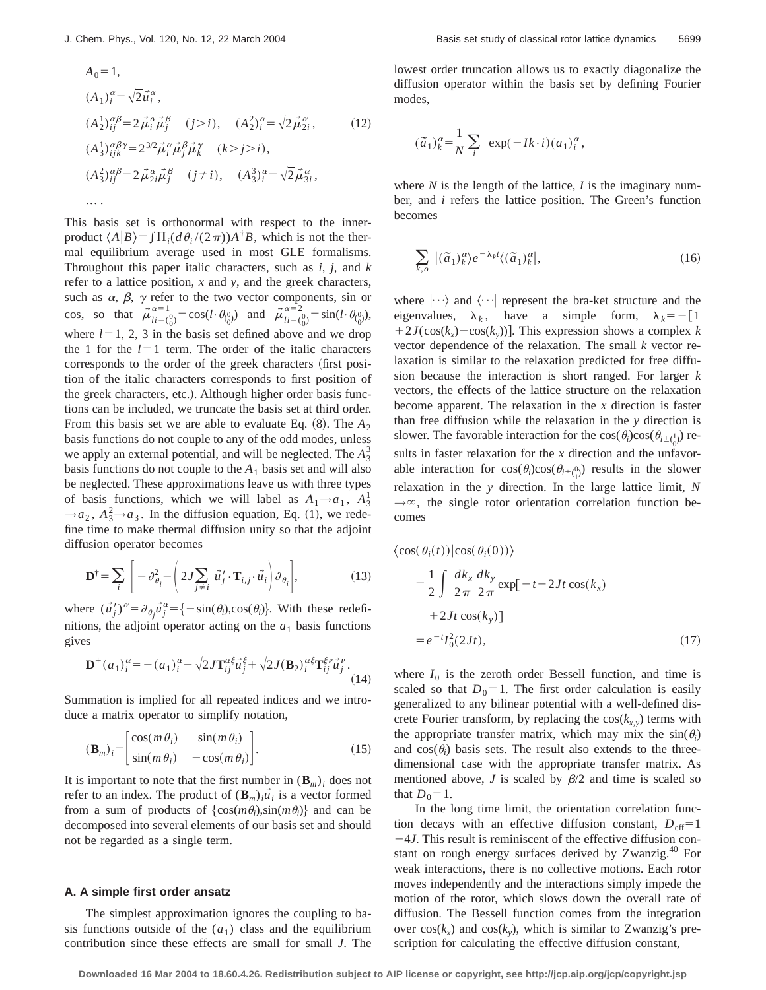$$
A_0 = 1,
$$
  
\n
$$
(A_1)^{\alpha}_{i} = \sqrt{2} \vec{u}_{i}^{\alpha},
$$
  
\n
$$
(A_2^1)^{\alpha\beta}_{ij} = 2 \vec{\mu}_{i}^{\alpha} \vec{\mu}_{j}^{\beta} \quad (j > i), \quad (A_2^2)^{\alpha} = \sqrt{2} \vec{\mu}_{2i}^{\alpha},
$$
  
\n
$$
(A_3^1)^{\alpha\beta\gamma}_{ijk} = 2^{3/2} \vec{\mu}_{i}^{\alpha} \vec{\mu}_{j}^{\beta} \vec{\mu}_{k}^{\gamma} \quad (k > j > i),
$$
  
\n
$$
(A_3^2)^{\alpha\beta}_{ij} = 2 \vec{\mu}_{2i}^{\alpha} \vec{\mu}_{j}^{\beta} \quad (j \neq i), \quad (A_3^3)^{\alpha} = \sqrt{2} \vec{\mu}_{3i}^{\alpha},
$$
  
\n...

This basis set is orthonormal with respect to the innerproduct  $\langle A|B \rangle = \int \prod_i (d\theta_i/(2\pi))A^{\dagger}B$ , which is not the thermal equilibrium average used in most GLE formalisms. Throughout this paper italic characters, such as *i*, *j*, and *k* refer to a lattice position, *x* and *y*, and the greek characters, such as  $\alpha$ ,  $\beta$ ,  $\gamma$  refer to the two vector components, sin or cos, so that  $\vec{\mu}_{li}^{\alpha=1}_{(0)} = \cos(l \cdot \theta_{(0)}^0)$  and  $\vec{\mu}_{li}^{\alpha=2}_{(0)} = \sin(l \cdot \theta_{(0)}^0)$ , where  $l=1, 2, 3$  in the basis set defined above and we drop the 1 for the  $l=1$  term. The order of the italic characters corresponds to the order of the greek characters (first position of the italic characters corresponds to first position of the greek characters, etc.). Although higher order basis functions can be included, we truncate the basis set at third order. From this basis set we are able to evaluate Eq.  $(8)$ . The  $A_2$ basis functions do not couple to any of the odd modes, unless we apply an external potential, and will be neglected. The *A*<sup>3</sup> 3 basis functions do not couple to the  $A_1$  basis set and will also be neglected. These approximations leave us with three types of basis functions, which we will label as  $A_1 \rightarrow a_1$ ,  $A_3$  $\rightarrow a_2$ ,  $A_3^2 \rightarrow a_3$ . In the diffusion equation, Eq. (1), we redefine time to make thermal diffusion unity so that the adjoint diffusion operator becomes

$$
\mathbf{D}^{\dagger} = \sum_{i} \left[ -\partial_{\theta_{i}}^{2} - \left( 2J \sum_{j \neq i} \vec{u}_{j}^{\prime} \cdot \mathbf{T}_{i,j} \cdot \vec{u}_{i} \right) \partial_{\theta_{i}} \right],
$$
 (13)

where  $(\vec{u}'_j)^\alpha = \partial_{\theta_j} \vec{u}^\alpha_j = \{-\sin(\theta_i), \cos(\theta_i)\}\$ . With these redefinitions, the adjoint operator acting on the  $a_1$  basis functions gives

$$
\mathbf{D}^{+}(a_{1})_{i}^{\alpha} = -(a_{1})_{i}^{\alpha} - \sqrt{2}J\mathbf{T}_{ij}^{\alpha\xi}\vec{u}_{j}^{\xi} + \sqrt{2}J(\mathbf{B}_{2})_{i}^{\alpha\xi}\mathbf{T}_{ij}^{\xi\nu}\vec{u}_{j}^{\nu}.
$$
\n(14)

Summation is implied for all repeated indices and we introduce a matrix operator to simplify notation,

$$
(\mathbf{B}_m)_i = \begin{bmatrix} \cos(m\,\theta_i) & \sin(m\,\theta_i) \\ \sin(m\,\theta_i) & -\cos(m\,\theta_i) \end{bmatrix} . \tag{15}
$$

It is important to note that the first number in  $(\mathbf{B}_m)$ <sup>*i*</sup> does not refer to an index. The product of  $(\mathbf{B}_m)$ <sub>i</sub> $\overline{u}_i$  is a vector formed from a sum of products of  $\{\cos(m\theta_i), \sin(m\theta_i)\}\)$  and can be decomposed into several elements of our basis set and should not be regarded as a single term.

### **A. A simple first order ansatz**

The simplest approximation ignores the coupling to basis functions outside of the  $(a_1)$  class and the equilibrium contribution since these effects are small for small *J*. The lowest order truncation allows us to exactly diagonalize the diffusion operator within the basis set by defining Fourier modes,

$$
(\widetilde{a}_1)_k^{\alpha} = \frac{1}{N} \sum_i \exp(-Ik \cdot i)(a_1)_i^{\alpha},
$$

~*˜*

where *N* is the length of the lattice, *I* is the imaginary number, and *i* refers the lattice position. The Green's function becomes

$$
\sum_{k,\alpha} |(\tilde{a}_1)_k^{\alpha} \rangle e^{-\lambda_k t} \langle (\tilde{a}_1)_k^{\alpha} |,
$$
\n(16)

where  $|\cdot \cdot \cdot\rangle$  and  $\langle \cdot \cdot \cdot|$  represent the bra-ket structure and the eigenvalues,  $\lambda_k$ , have a simple form,  $\lambda_k = -[1]$  $+2J(\cos(k_x)-\cos(k_y))$ . This expression shows a complex *k* vector dependence of the relaxation. The small *k* vector relaxation is similar to the relaxation predicted for free diffusion because the interaction is short ranged. For larger *k* vectors, the effects of the lattice structure on the relaxation become apparent. The relaxation in the *x* direction is faster than free diffusion while the relaxation in the *y* direction is slower. The favorable interaction for the  $cos(\theta_i)cos(\theta_{i\pm(\lambda_i)})$  results in faster relaxation for the *x* direction and the unfavorable interaction for  $cos(\theta_i)cos(\theta_{i\pm(\theta_i)})$  results in the slower relaxation in the *y* direction. In the large lattice limit, *N*  $\rightarrow \infty$ , the single rotor orientation correlation function becomes

$$
\langle \cos(\theta_i(t)) | \cos(\theta_i(0)) \rangle
$$
  
=  $\frac{1}{2} \int \frac{dk_x}{2\pi} \frac{dk_y}{2\pi} \exp[-t - 2Jt \cos(k_x) + 2Jt \cos(k_y)]$   
=  $e^{-t} I_0^2(2Jt)$ , (17)

where  $I_0$  is the zeroth order Bessell function, and time is scaled so that  $D_0=1$ . The first order calculation is easily generalized to any bilinear potential with a well-defined discrete Fourier transform, by replacing the  $cos(k_{x,y})$  terms with the appropriate transfer matrix, which may mix the  $sin(\theta_i)$ and  $cos(\theta_i)$  basis sets. The result also extends to the threedimensional case with the appropriate transfer matrix. As mentioned above, *J* is scaled by  $\beta/2$  and time is scaled so that  $D_0 = 1$ .

In the long time limit, the orientation correlation function decays with an effective diffusion constant,  $D_{\text{eff}}=1$ 24*J*. This result is reminiscent of the effective diffusion constant on rough energy surfaces derived by Zwanzig.<sup>40</sup> For weak interactions, there is no collective motions. Each rotor moves independently and the interactions simply impede the motion of the rotor, which slows down the overall rate of diffusion. The Bessell function comes from the integration over  $cos(k_x)$  and  $cos(k_y)$ , which is similar to Zwanzig's prescription for calculating the effective diffusion constant,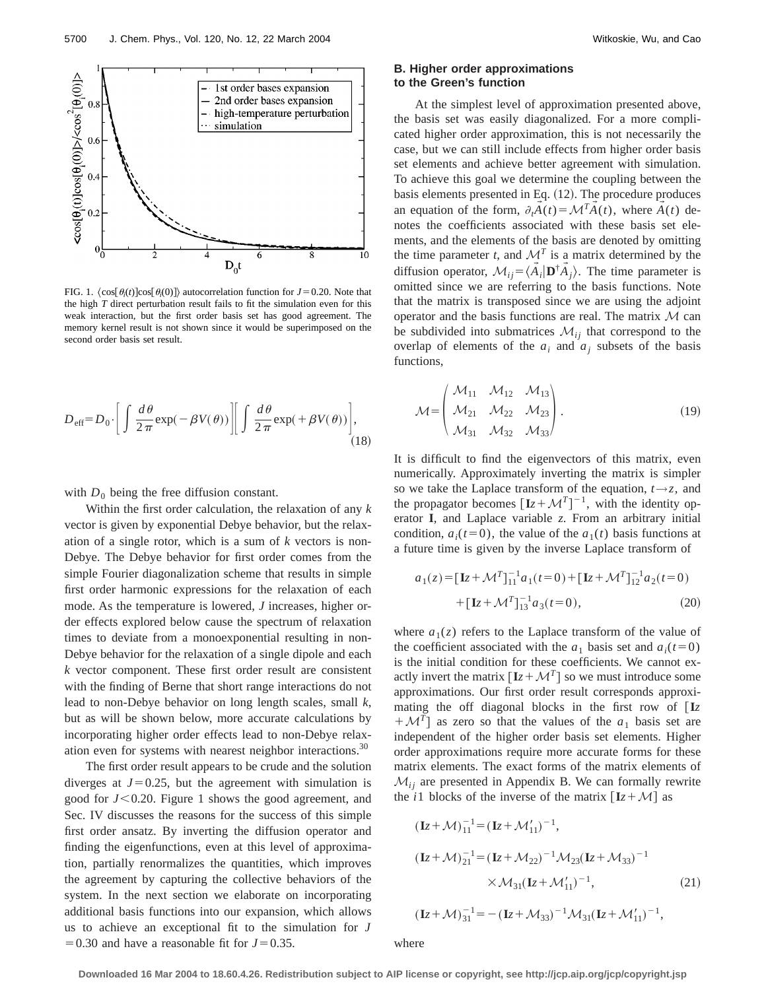

FIG. 1.  $\langle \cos[\theta_i(t)] \cos[\theta_i(0)] \rangle$  autocorrelation function for *J* = 0.20. Note that the high *T* direct perturbation result fails to fit the simulation even for this weak interaction, but the first order basis set has good agreement. The memory kernel result is not shown since it would be superimposed on the second order basis set result.

$$
D_{\text{eff}} = D_0 \cdot \left[ \int \frac{d\theta}{2\pi} \exp(-\beta V(\theta)) \right] \left[ \int \frac{d\theta}{2\pi} \exp(+\beta V(\theta)) \right],
$$
\n(18)

with  $D_0$  being the free diffusion constant.

Within the first order calculation, the relaxation of any *k* vector is given by exponential Debye behavior, but the relaxation of a single rotor, which is a sum of *k* vectors is non-Debye. The Debye behavior for first order comes from the simple Fourier diagonalization scheme that results in simple first order harmonic expressions for the relaxation of each mode. As the temperature is lowered, *J* increases, higher order effects explored below cause the spectrum of relaxation times to deviate from a monoexponential resulting in non-Debye behavior for the relaxation of a single dipole and each *k* vector component. These first order result are consistent with the finding of Berne that short range interactions do not lead to non-Debye behavior on long length scales, small *k*, but as will be shown below, more accurate calculations by incorporating higher order effects lead to non-Debye relaxation even for systems with nearest neighbor interactions.<sup>30</sup>

The first order result appears to be crude and the solution diverges at  $J=0.25$ , but the agreement with simulation is good for  $J<0.20$ . Figure 1 shows the good agreement, and Sec. IV discusses the reasons for the success of this simple first order ansatz. By inverting the diffusion operator and finding the eigenfunctions, even at this level of approximation, partially renormalizes the quantities, which improves the agreement by capturing the collective behaviors of the system. In the next section we elaborate on incorporating additional basis functions into our expansion, which allows us to achieve an exceptional fit to the simulation for *J*  $=0.30$  and have a reasonable fit for  $J=0.35$ .

### **B. Higher order approximations to the Green's function**

At the simplest level of approximation presented above, the basis set was easily diagonalized. For a more complicated higher order approximation, this is not necessarily the case, but we can still include effects from higher order basis set elements and achieve better agreement with simulation. To achieve this goal we determine the coupling between the basis elements presented in Eq.  $(12)$ . The procedure produces an equation of the form,  $\partial_t \tilde{A}(t) = \mathcal{M}^T \tilde{A}(t)$ , where  $\tilde{A}(t)$  de- $\rightarrow$  $\rightarrow$  $\rightarrow$ notes the coefficients associated with these basis set elements, and the elements of the basis are denoted by omitting the time parameter *t*, and  $\mathcal{M}^T$  is a matrix determined by the diffusion operator,  $\mathcal{M}_{ij} = \langle \tilde{A}_i | \mathbf{D}^\dagger \tilde{A}_j \rangle$ . The time parameter is  $\rightarrow$ omitted since we are referring to the basis functions. Note that the matrix is transposed since we are using the adjoint operator and the basis functions are real. The matrix  $M$  can be subdivided into submatrices  $\mathcal{M}_{ij}$  that correspond to the overlap of elements of the  $a_i$  and  $a_j$  subsets of the basis functions,

$$
\mathcal{M} = \begin{pmatrix} \mathcal{M}_{11} & \mathcal{M}_{12} & \mathcal{M}_{13} \\ \mathcal{M}_{21} & \mathcal{M}_{22} & \mathcal{M}_{23} \\ \mathcal{M}_{31} & \mathcal{M}_{32} & \mathcal{M}_{33} \end{pmatrix} .
$$
 (19)

It is difficult to find the eigenvectors of this matrix, even numerically. Approximately inverting the matrix is simpler so we take the Laplace transform of the equation,  $t \rightarrow z$ , and the propagator becomes  $[\mathbf{I}z + \mathcal{M}^T]^{-1}$ , with the identity operator **I**, and Laplace variable *z*. From an arbitrary initial condition,  $a_i(t=0)$ , the value of the  $a_1(t)$  basis functions at a future time is given by the inverse Laplace transform of

$$
a_1(z) = [\mathbf{I}_z + \mathcal{M}^T]_{11}^{-1} a_1(t=0) + [\mathbf{I}_z + \mathcal{M}^T]_{12}^{-1} a_2(t=0)
$$
  
+ [\mathbf{I}\_z + \mathcal{M}^T]\_{13}^{-1} a\_3(t=0), (20)

where  $a_1(z)$  refers to the Laplace transform of the value of the coefficient associated with the  $a_1$  basis set and  $a_i(t=0)$ is the initial condition for these coefficients. We cannot exactly invert the matrix  $\left[{\bf I}_z + {\bf M}^T\right]$  so we must introduce some approximations. Our first order result corresponds approximating the off diagonal blocks in the first row of  $[Iz]$  $+\mathcal{M}^T$  as zero so that the values of the  $a_1$  basis set are independent of the higher order basis set elements. Higher order approximations require more accurate forms for these matrix elements. The exact forms of the matrix elements of  $M_{ij}$  are presented in Appendix B. We can formally rewrite the *i*1 blocks of the inverse of the matrix  $[Iz + M]$  as

$$
(\mathbf{I}z + \mathcal{M})_{11}^{-1} = (\mathbf{I}z + \mathcal{M}'_{11})^{-1},
$$
  
\n
$$
(\mathbf{I}z + \mathcal{M})_{21}^{-1} = (\mathbf{I}z + \mathcal{M}_{22})^{-1} \mathcal{M}_{23} (\mathbf{I}z + \mathcal{M}_{33})^{-1}
$$
  
\n
$$
\times \mathcal{M}_{31} (\mathbf{I}z + \mathcal{M}'_{11})^{-1},
$$
\n(21)

$$
(\mathbf{I}_{z} + \mathcal{M})_{31}^{-1} = -(\mathbf{I}_{z} + \mathcal{M}_{33})^{-1} \mathcal{M}_{31} (\mathbf{I}_{z} + \mathcal{M}'_{11})^{-1},
$$

where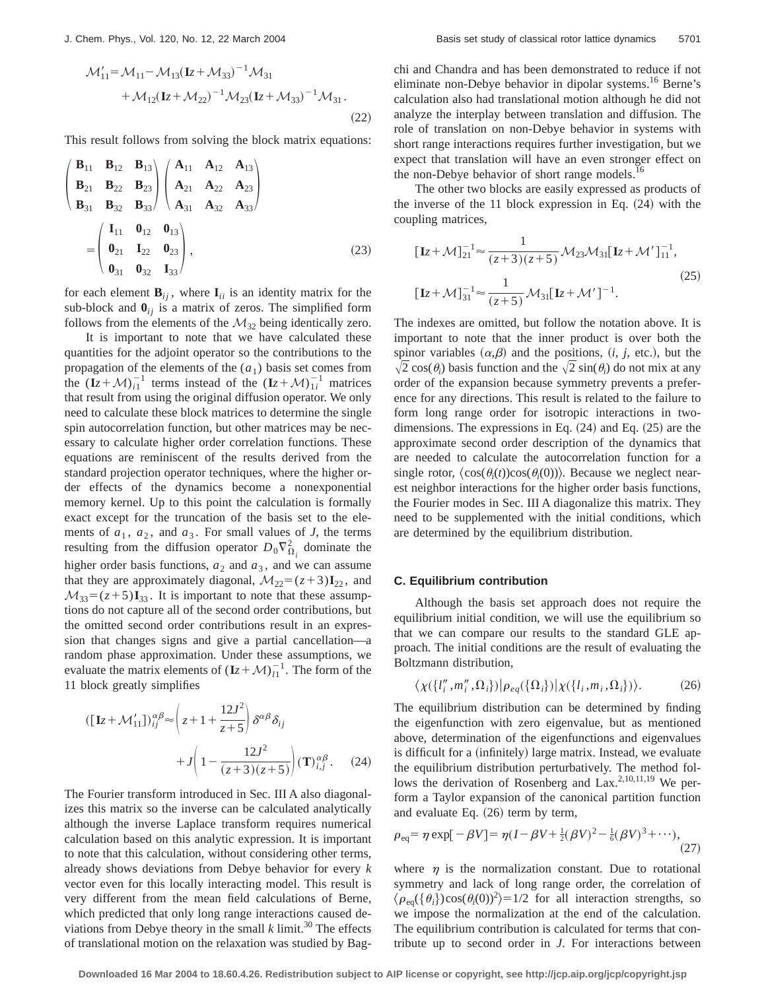This result follows from solving the block matrix equations:

$$
\begin{pmatrix}\n\mathbf{B}_{11} & \mathbf{B}_{12} & \mathbf{B}_{13} \\
\mathbf{B}_{21} & \mathbf{B}_{22} & \mathbf{B}_{23} \\
\mathbf{B}_{31} & \mathbf{B}_{32} & \mathbf{B}_{33}\n\end{pmatrix}\n\begin{pmatrix}\n\mathbf{A}_{11} & \mathbf{A}_{12} & \mathbf{A}_{13} \\
\mathbf{A}_{21} & \mathbf{A}_{22} & \mathbf{A}_{23} \\
\mathbf{A}_{31} & \mathbf{A}_{32} & \mathbf{A}_{33}\n\end{pmatrix}
$$
\n
$$
=\n\begin{pmatrix}\n\mathbf{I}_{11} & \mathbf{0}_{12} & \mathbf{0}_{13} \\
\mathbf{0}_{21} & \mathbf{I}_{22} & \mathbf{0}_{23} \\
\mathbf{0}_{31} & \mathbf{0}_{32} & \mathbf{I}_{33}\n\end{pmatrix},
$$
\n(23)

for each element  $\mathbf{B}_{ij}$ , where  $\mathbf{I}_{ii}$  is an identity matrix for the sub-block and  $\mathbf{0}_{ij}$  is a matrix of zeros. The simplified form follows from the elements of the  $\mathcal{M}_{32}$  being identically zero.

It is important to note that we have calculated these quantities for the adjoint operator so the contributions to the propagation of the elements of the  $(a<sub>1</sub>)$  basis set comes from the  $(I_z + M)_{i1}^{-1}$  terms instead of the  $(I_z + M)_{1i}^{-1}$  matrices that result from using the original diffusion operator. We only need to calculate these block matrices to determine the single spin autocorrelation function, but other matrices may be necessary to calculate higher order correlation functions. These equations are reminiscent of the results derived from the standard projection operator techniques, where the higher order effects of the dynamics become a nonexponential memory kernel. Up to this point the calculation is formally exact except for the truncation of the basis set to the elements of  $a_1$ ,  $a_2$ , and  $a_3$ . For small values of *J*, the terms resulting from the diffusion operator  $D_0 \nabla_{\Omega_i}^2$  dominate the higher order basis functions,  $a_2$  and  $a_3$ , and we can assume that they are approximately diagonal,  $\mathcal{M}_{22} = (z+3)I_{22}$ , and  $\mathcal{M}_{33} = (z+5)I_{33}$ . It is important to note that these assumptions do not capture all of the second order contributions, but the omitted second order contributions result in an expression that changes signs and give a partial cancellation—a random phase approximation. Under these assumptions, we evaluate the matrix elements of  $(I_z + M)_{l_1}^{-1}$ . The form of the 11 block greatly simplifies

$$
\begin{aligned} \left( \left[ \mathbf{I}_{z} + \mathcal{M}'_{11} \right] \right)_{ij}^{\alpha \beta} &\approx \left( z + 1 + \frac{12J^2}{z + 5} \right) \delta^{\alpha \beta} \delta_{ij} \\ &+ J \left( 1 - \frac{12J^2}{(z + 3)(z + 5)} \right) \left( \mathbf{T} \right)_{i,j}^{\alpha \beta}. \end{aligned} \tag{24}
$$

The Fourier transform introduced in Sec. III A also diagonalizes this matrix so the inverse can be calculated analytically although the inverse Laplace transform requires numerical calculation based on this analytic expression. It is important to note that this calculation, without considering other terms, already shows deviations from Debye behavior for every *k* vector even for this locally interacting model. This result is very different from the mean field calculations of Berne, which predicted that only long range interactions caused deviations from Debye theory in the small  $k$  limit.<sup>30</sup> The effects of translational motion on the relaxation was studied by Bagchi and Chandra and has been demonstrated to reduce if not eliminate non-Debye behavior in dipolar systems.<sup>16</sup> Berne's calculation also had translational motion although he did not analyze the interplay between translation and diffusion. The role of translation on non-Debye behavior in systems with short range interactions requires further investigation, but we expect that translation will have an even stronger effect on the non-Debye behavior of short range models.<sup>16</sup>

The other two blocks are easily expressed as products of the inverse of the 11 block expression in Eq.  $(24)$  with the coupling matrices,

$$
\begin{aligned} \left[\mathbf{I}_{z} + \mathcal{M}\right]_{21}^{-1} &\approx \frac{1}{(z+3)(z+5)} \mathcal{M}_{23} \mathcal{M}_{31} \left[\mathbf{I}_{z} + \mathcal{M}'\right]_{11}^{-1}, \\ \left[\mathbf{I}_{z} + \mathcal{M}\right]_{31}^{-1} &\approx \frac{1}{(z+5)} \mathcal{M}_{31} \left[\mathbf{I}_{z} + \mathcal{M}'\right]^{-1}. \end{aligned} \tag{25}
$$

The indexes are omitted, but follow the notation above. It is important to note that the inner product is over both the spinor variables  $(\alpha, \beta)$  and the positions,  $(i, j, etc.)$ , but the  $\sqrt{2} \cos(\theta_i)$  basis function and the  $\sqrt{2} \sin(\theta_i)$  do not mix at any order of the expansion because symmetry prevents a preference for any directions. This result is related to the failure to form long range order for isotropic interactions in twodimensions. The expressions in Eq.  $(24)$  and Eq.  $(25)$  are the approximate second order description of the dynamics that are needed to calculate the autocorrelation function for a single rotor,  $\langle \cos(\theta_i(t))\cos(\theta_i(0)) \rangle$ . Because we neglect nearest neighbor interactions for the higher order basis functions, the Fourier modes in Sec. III A diagonalize this matrix. They need to be supplemented with the initial conditions, which are determined by the equilibrium distribution.

#### **C. Equilibrium contribution**

Although the basis set approach does not require the equilibrium initial condition, we will use the equilibrium so that we can compare our results to the standard GLE approach. The initial conditions are the result of evaluating the Boltzmann distribution,

$$
\langle \chi(\lbrace l_i'',m_i'',\Omega_i \rbrace)|\rho_{eq}(\lbrace \Omega_i \rbrace)|\chi(\lbrace l_i,m_i,\Omega_i \rbrace)\rangle. \tag{26}
$$

The equilibrium distribution can be determined by finding the eigenfunction with zero eigenvalue, but as mentioned above, determination of the eigenfunctions and eigenvalues is difficult for a (infinitely) large matrix. Instead, we evaluate the equilibrium distribution perturbatively. The method follows the derivation of Rosenberg and Lax.<sup>2,10,11,19</sup> We perform a Taylor expansion of the canonical partition function and evaluate Eq.  $(26)$  term by term,

$$
\rho_{\text{eq}} = \eta \exp[-\beta V] = \eta (I - \beta V + \frac{1}{2} (\beta V)^2 - \frac{1}{6} (\beta V)^3 + \cdots),\tag{27}
$$

where  $\eta$  is the normalization constant. Due to rotational symmetry and lack of long range order, the correlation of  $\langle \rho_{eq}(\{\theta_i\})\cos(\theta_i(0))^2 \rangle = 1/2$  for all interaction strengths, so we impose the normalization at the end of the calculation. The equilibrium contribution is calculated for terms that contribute up to second order in *J*. For interactions between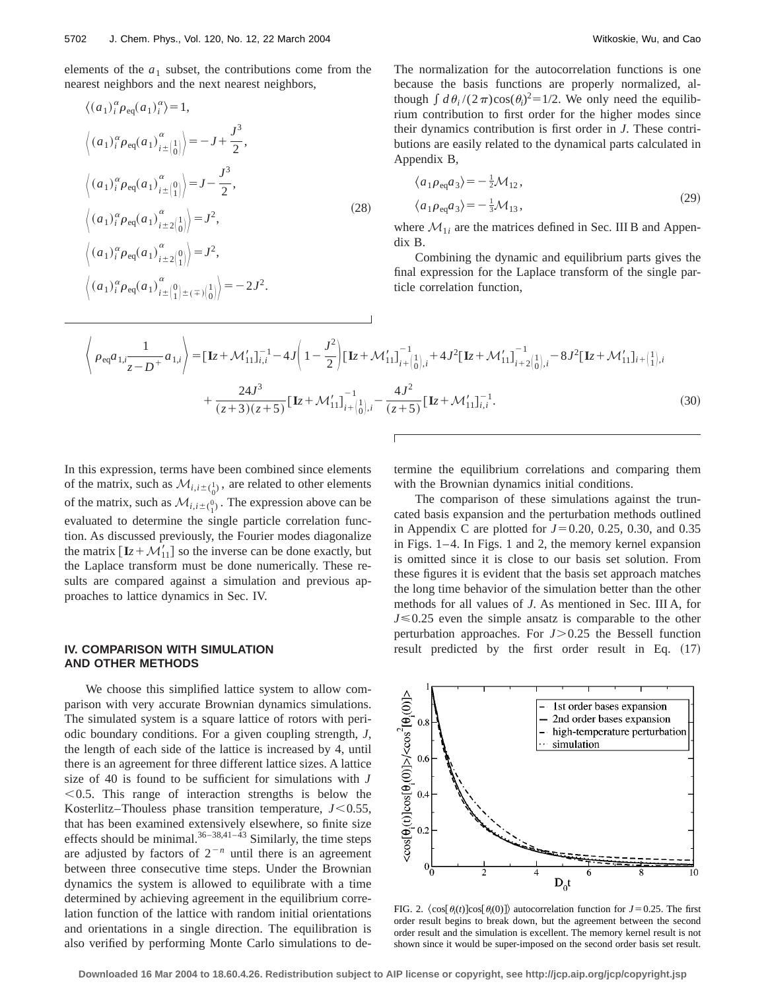elements of the  $a_1$  subset, the contributions come from the nearest neighbors and the next nearest neighbors,

$$
\langle (a_1)_{i}^{\alpha} \rho_{eq}(a_1)_{i}^{\alpha} \rangle = 1,
$$
\n
$$
\langle (a_1)_{i}^{\alpha} \rho_{eq}(a_1)_{i \pm (b_1)}^{\alpha} \rangle = -J + \frac{J^3}{2},
$$
\n
$$
\langle (a_1)_{i}^{\alpha} \rho_{eq}(a_1)_{i \pm (b_1)}^{\alpha} \rangle = J - \frac{J^3}{2},
$$
\n
$$
\langle (a_1)_{i}^{\alpha} \rho_{eq}(a_1)_{i \pm 2(b)}^{\alpha} \rangle = J^2,
$$
\n
$$
\langle (a_1)_{i}^{\alpha} \rho_{eq}(a_1)_{i \pm 2(b)}^{\alpha} \rangle = J^2,
$$
\n
$$
\langle (a_1)_{i}^{\alpha} \rho_{eq}(a_1)_{i \pm 2(b)}^{\alpha} \rangle = -2J^2.
$$
\n
$$
\langle (a_1)_{i}^{\alpha} \rho_{eq}(a_1)_{i \pm (b_1)(b)}^{\alpha} \rangle = -2J^2.
$$
\n
$$
\langle (a_1)_{i}^{\alpha} \rho_{eq}(a_1)_{i \pm (b_1)(b)}^{\alpha} \rangle = -2J^2.
$$

The normalization for the autocorrelation functions is one because the basis functions are properly normalized, although  $\int d\theta_i/(2\pi)\cos(\theta_i)^2 = 1/2$ . We only need the equilibrium contribution to first order for the higher modes since their dynamics contribution is first order in *J*. These contributions are easily related to the dynamical parts calculated in Appendix B,

$$
\langle a_1 \rho_{\text{eq}} a_3 \rangle = -\frac{1}{2} \mathcal{M}_{12},
$$
  

$$
\langle a_1 \rho_{\text{eq}} a_3 \rangle = -\frac{1}{3} \mathcal{M}_{13},
$$
 (29)

where  $\mathcal{M}_{1i}$  are the matrices defined in Sec. III B and Appendix B.

Combining the dynamic and equilibrium parts gives the final expression for the Laplace transform of the single particle correlation function,

$$
\left\langle \rho_{eq} a_{1,i} \frac{1}{z - D^{+}} a_{1,i} \right\rangle = \left[ \mathbf{I} z + \mathcal{M}'_{11} \right]_{i,i}^{-1} - 4J \left( 1 - \frac{J^{2}}{2} \right) \left[ \mathbf{I} z + \mathcal{M}'_{11} \right]_{i+}^{-1} \left( \frac{1}{0} \right), i + 4J^{2} \left[ \mathbf{I} z + \mathcal{M}'_{11} \right]_{i+2}^{-1} \left( \frac{1}{0} \right), i - 8J^{2} \left[ \mathbf{I} z + \mathcal{M}'_{11} \right]_{i+1}^{-1} \left( \frac{1}{1} \right), i + \frac{24J^{3}}{(z + 3)(z + 5)} \left[ \mathbf{I} z + \mathcal{M}'_{11} \right]_{i+1}^{-1} \left( \frac{1}{0} \right), i - \frac{4J^{2}}{(z + 5)} \left[ \mathbf{I} z + \mathcal{M}'_{11} \right]_{i,i}^{-1} .
$$
\n(30)

In this expression, terms have been combined since elements of the matrix, such as  $\mathcal{M}_{i,i,\pm\binom{1}{0}}$ , are related to other elements of the matrix, such as  $\mathcal{M}_{i,i \pm \binom{0}{1}}$ . The expression above can be evaluated to determine the single particle correlation function. As discussed previously, the Fourier modes diagonalize the matrix  $\left[I_z + \mathcal{M}'_{11}\right]$  so the inverse can be done exactly, but the Laplace transform must be done numerically. These results are compared against a simulation and previous approaches to lattice dynamics in Sec. IV.

### **IV. COMPARISON WITH SIMULATION AND OTHER METHODS**

We choose this simplified lattice system to allow comparison with very accurate Brownian dynamics simulations. The simulated system is a square lattice of rotors with periodic boundary conditions. For a given coupling strength, *J*, the length of each side of the lattice is increased by 4, until there is an agreement for three different lattice sizes. A lattice size of 40 is found to be sufficient for simulations with *J*  $< 0.5$ . This range of interaction strengths is below the Kosterlitz–Thouless phase transition temperature,  $J < 0.55$ , that has been examined extensively elsewhere, so finite size effects should be minimal.<sup>36-38,41-43</sup> Similarly, the time steps are adjusted by factors of  $2^{-n}$  until there is an agreement between three consecutive time steps. Under the Brownian dynamics the system is allowed to equilibrate with a time determined by achieving agreement in the equilibrium correlation function of the lattice with random initial orientations and orientations in a single direction. The equilibration is also verified by performing Monte Carlo simulations to determine the equilibrium correlations and comparing them with the Brownian dynamics initial conditions.

The comparison of these simulations against the truncated basis expansion and the perturbation methods outlined in Appendix C are plotted for  $J=0.20, 0.25, 0.30,$  and 0.35 in Figs. 1–4. In Figs. 1 and 2, the memory kernel expansion is omitted since it is close to our basis set solution. From these figures it is evident that the basis set approach matches the long time behavior of the simulation better than the other methods for all values of *J*. As mentioned in Sec. III A, for  $J \leq 0.25$  even the simple ansatz is comparable to the other perturbation approaches. For *J*.0.25 the Bessell function result predicted by the first order result in Eq.  $(17)$ 



FIG. 2.  $\langle \cos[\theta_i(t)] \cos[\theta_i(0)] \rangle$  autocorrelation function for *J* = 0.25. The first order result begins to break down, but the agreement between the second order result and the simulation is excellent. The memory kernel result is not shown since it would be super-imposed on the second order basis set result.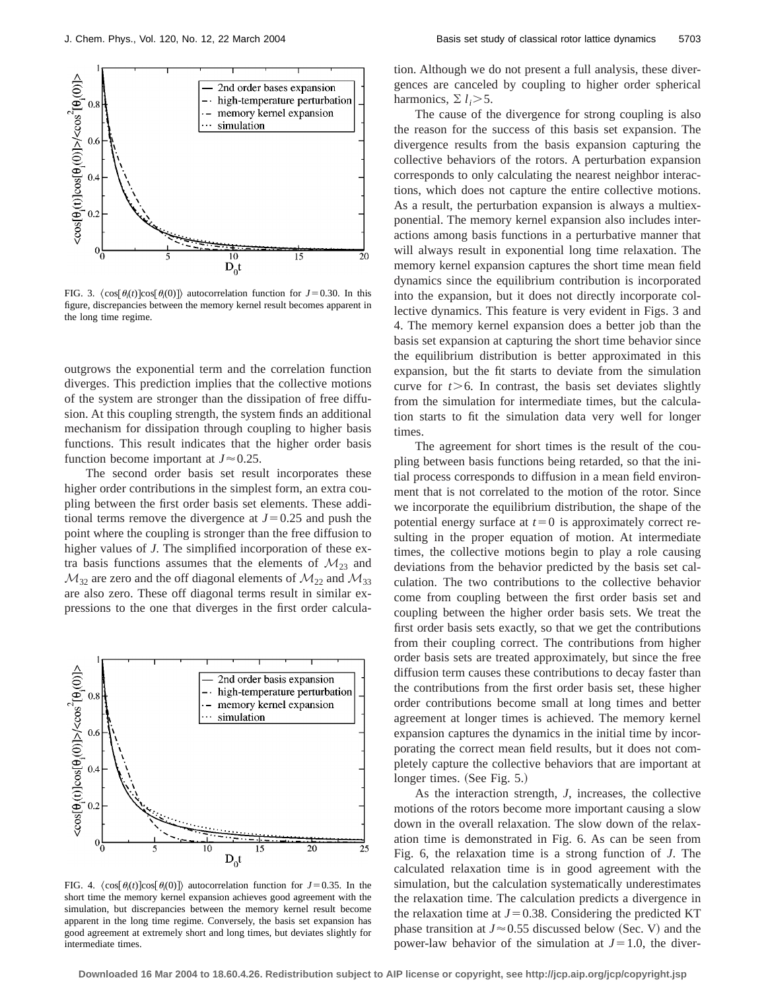

FIG. 3.  $\langle \cos[\theta_i(t)] \cos[\theta_i(0)] \rangle$  autocorrelation function for *J* = 0.30. In this figure, discrepancies between the memory kernel result becomes apparent in the long time regime.

outgrows the exponential term and the correlation function diverges. This prediction implies that the collective motions of the system are stronger than the dissipation of free diffusion. At this coupling strength, the system finds an additional mechanism for dissipation through coupling to higher basis functions. This result indicates that the higher order basis function become important at  $J \approx 0.25$ .

The second order basis set result incorporates these higher order contributions in the simplest form, an extra coupling between the first order basis set elements. These additional terms remove the divergence at  $J=0.25$  and push the point where the coupling is stronger than the free diffusion to higher values of *J*. The simplified incorporation of these extra basis functions assumes that the elements of  $\mathcal{M}_{23}$  and  $\mathcal{M}_{32}$  are zero and the off diagonal elements of  $\mathcal{M}_{22}$  and  $\mathcal{M}_{33}$ are also zero. These off diagonal terms result in similar expressions to the one that diverges in the first order calcula-



FIG. 4.  $\langle \cos[\theta_i(t)] \cos[\theta_i(0)] \rangle$  autocorrelation function for *J*=0.35. In the short time the memory kernel expansion achieves good agreement with the simulation, but discrepancies between the memory kernel result become apparent in the long time regime. Conversely, the basis set expansion has good agreement at extremely short and long times, but deviates slightly for intermediate times.

tion. Although we do not present a full analysis, these divergences are canceled by coupling to higher order spherical harmonics,  $\Sigma l_i > 5$ .

The cause of the divergence for strong coupling is also the reason for the success of this basis set expansion. The divergence results from the basis expansion capturing the collective behaviors of the rotors. A perturbation expansion corresponds to only calculating the nearest neighbor interactions, which does not capture the entire collective motions. As a result, the perturbation expansion is always a multiexponential. The memory kernel expansion also includes interactions among basis functions in a perturbative manner that will always result in exponential long time relaxation. The memory kernel expansion captures the short time mean field dynamics since the equilibrium contribution is incorporated into the expansion, but it does not directly incorporate collective dynamics. This feature is very evident in Figs. 3 and 4. The memory kernel expansion does a better job than the basis set expansion at capturing the short time behavior since the equilibrium distribution is better approximated in this expansion, but the fit starts to deviate from the simulation curve for  $t > 6$ . In contrast, the basis set deviates slightly from the simulation for intermediate times, but the calculation starts to fit the simulation data very well for longer times.

The agreement for short times is the result of the coupling between basis functions being retarded, so that the initial process corresponds to diffusion in a mean field environment that is not correlated to the motion of the rotor. Since we incorporate the equilibrium distribution, the shape of the potential energy surface at  $t=0$  is approximately correct resulting in the proper equation of motion. At intermediate times, the collective motions begin to play a role causing deviations from the behavior predicted by the basis set calculation. The two contributions to the collective behavior come from coupling between the first order basis set and coupling between the higher order basis sets. We treat the first order basis sets exactly, so that we get the contributions from their coupling correct. The contributions from higher order basis sets are treated approximately, but since the free diffusion term causes these contributions to decay faster than the contributions from the first order basis set, these higher order contributions become small at long times and better agreement at longer times is achieved. The memory kernel expansion captures the dynamics in the initial time by incorporating the correct mean field results, but it does not completely capture the collective behaviors that are important at longer times.  $(See Fig. 5.)$ 

As the interaction strength, *J*, increases, the collective motions of the rotors become more important causing a slow down in the overall relaxation. The slow down of the relaxation time is demonstrated in Fig. 6. As can be seen from Fig. 6, the relaxation time is a strong function of *J*. The calculated relaxation time is in good agreement with the simulation, but the calculation systematically underestimates the relaxation time. The calculation predicts a divergence in the relaxation time at  $J=0.38$ . Considering the predicted KT phase transition at  $J \approx 0.55$  discussed below (Sec. V) and the power-law behavior of the simulation at  $J=1.0$ , the diver-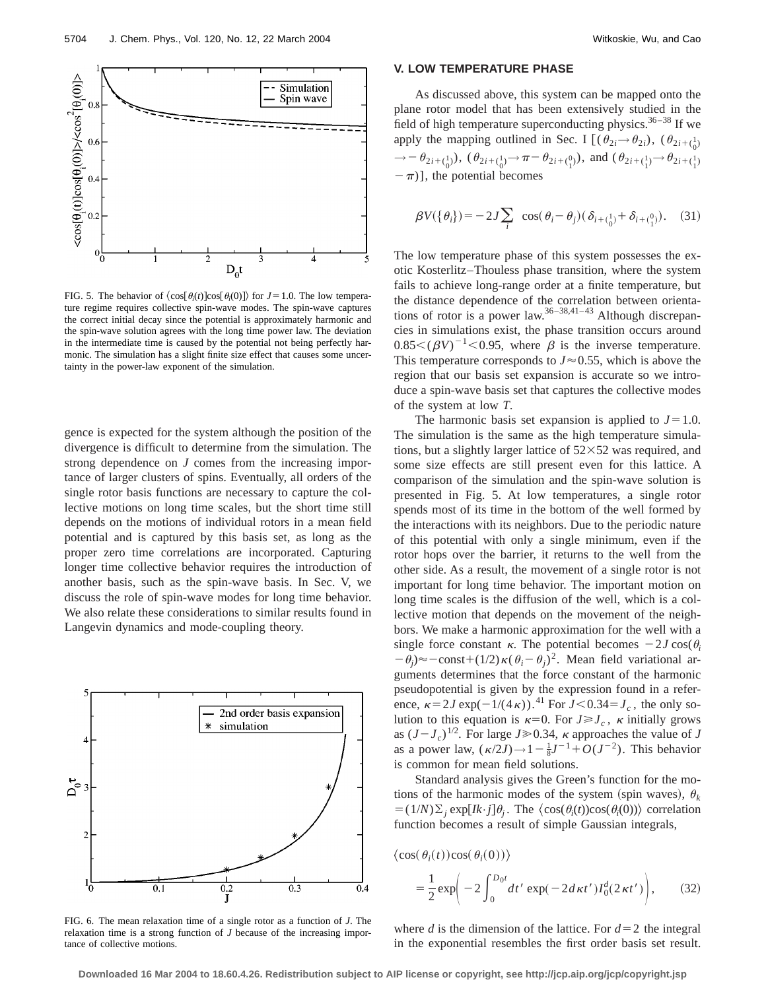

FIG. 5. The behavior of  $\langle \cos[\theta_i(t)] \cos[\theta_i(0)] \rangle$  for  $J = 1.0$ . The low temperature regime requires collective spin-wave modes. The spin-wave captures the correct initial decay since the potential is approximately harmonic and the spin-wave solution agrees with the long time power law. The deviation in the intermediate time is caused by the potential not being perfectly harmonic. The simulation has a slight finite size effect that causes some uncertainty in the power-law exponent of the simulation.

gence is expected for the system although the position of the divergence is difficult to determine from the simulation. The strong dependence on *J* comes from the increasing importance of larger clusters of spins. Eventually, all orders of the single rotor basis functions are necessary to capture the collective motions on long time scales, but the short time still depends on the motions of individual rotors in a mean field potential and is captured by this basis set, as long as the proper zero time correlations are incorporated. Capturing longer time collective behavior requires the introduction of another basis, such as the spin-wave basis. In Sec. V, we discuss the role of spin-wave modes for long time behavior. We also relate these considerations to similar results found in Langevin dynamics and mode-coupling theory.



FIG. 6. The mean relaxation time of a single rotor as a function of *J*. The relaxation time is a strong function of *J* because of the increasing importance of collective motions.

#### **V. LOW TEMPERATURE PHASE**

As discussed above, this system can be mapped onto the plane rotor model that has been extensively studied in the field of high temperature superconducting physics.<sup>36–38</sup> If we apply the mapping outlined in Sec. I  $[(\theta_{2i} \rightarrow \theta_{2i}), (\theta_{2i}+(\frac{1}{0})$  $\to -\theta_{2i+(\frac{1}{0})}), (\theta_{2i+(\frac{1}{0})} \to \pi - \theta_{2i+(\frac{0}{1})}),$  and  $(\theta_{2i+(\frac{1}{1})} \to \theta_{2i+(\frac{1}{1})})$  $(-\pi)$ ], the potential becomes

$$
\beta V(\{\theta_i\}) = -2J\sum_i \cos(\theta_i - \theta_j)(\delta_{i+(\frac{1}{0})} + \delta_{i+(\frac{0}{1})}). \quad (31)
$$

The low temperature phase of this system possesses the exotic Kosterlitz–Thouless phase transition, where the system fails to achieve long-range order at a finite temperature, but the distance dependence of the correlation between orientations of rotor is a power law.  $36-38,41-43$  Although discrepancies in simulations exist, the phase transition occurs around  $0.85<(\beta V)^{-1}<0.95$ , where  $\beta$  is the inverse temperature. This temperature corresponds to  $J \approx 0.55$ , which is above the region that our basis set expansion is accurate so we introduce a spin-wave basis set that captures the collective modes of the system at low *T*.

The harmonic basis set expansion is applied to  $J=1.0$ . The simulation is the same as the high temperature simulations, but a slightly larger lattice of  $52\times52$  was required, and some size effects are still present even for this lattice. A comparison of the simulation and the spin-wave solution is presented in Fig. 5. At low temperatures, a single rotor spends most of its time in the bottom of the well formed by the interactions with its neighbors. Due to the periodic nature of this potential with only a single minimum, even if the rotor hops over the barrier, it returns to the well from the other side. As a result, the movement of a single rotor is not important for long time behavior. The important motion on long time scales is the diffusion of the well, which is a collective motion that depends on the movement of the neighbors. We make a harmonic approximation for the well with a single force constant  $\kappa$ . The potential becomes  $-2J\cos(\theta_i)$  $-\theta_j \approx -\text{const} + (1/2) \kappa (\theta_i - \theta_j)^2$ . Mean field variational arguments determines that the force constant of the harmonic pseudopotential is given by the expression found in a reference,  $\kappa = 2J \exp(-1/(4\kappa))$ .<sup>41</sup> For  $J < 0.34 = J_c$ , the only solution to this equation is  $\kappa=0$ . For  $J \ge J_c$ ,  $\kappa$  initially grows as  $(J - J_c)^{1/2}$ . For large  $J \ge 0.34$ ,  $\kappa$  approaches the value of *J* as a power law,  $(\kappa/2J) \rightarrow 1 - \frac{1}{8}J^{-1} + O(J^{-2})$ . This behavior is common for mean field solutions.

Standard analysis gives the Green's function for the motions of the harmonic modes of the system (spin waves),  $\theta_k$  $= (1/N)\sum_j \exp[k \cdot j] \theta_j$ . The  $\langle \cos(\theta_i(t))\cos(\theta_i(0)) \rangle$  correlation function becomes a result of simple Gaussian integrals,

$$
\langle \cos(\theta_i(t)) \cos(\theta_i(0)) \rangle
$$
  
=  $\frac{1}{2} \exp\left(-2 \int_0^{D_0 t} dt' \exp(-2d\kappa t') I_0^d(2\kappa t') \right)$ , (32)

where *d* is the dimension of the lattice. For  $d=2$  the integral in the exponential resembles the first order basis set result.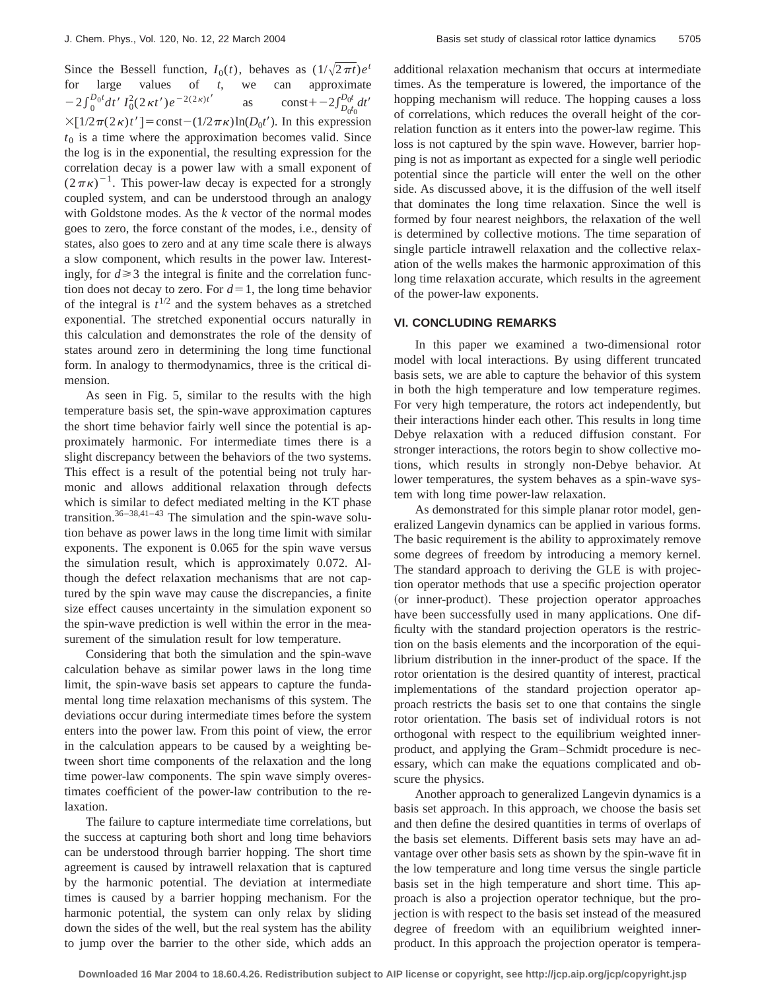Since the Bessell function,  $I_0(t)$ , behaves as  $\left(\frac{1}{\sqrt{2\pi t}}\right)e^t$  for large values of *t*, we can approximate for large values of  $t$ , we can  $-2\int_0^{D_0 t} dt' I_0^2$  $(2\kappa t')e^{-2(2\kappa)t'}$  as const+ $-2\int_{D_0t_0}^{D_0t}$  $\frac{D_0 t}{D_0 t} dt'$  $\times$ [1/2 $\pi$ (2 $\kappa$ )*t'*]=const-(1/2 $\pi$  $\kappa$ )ln(*D*<sub>0</sub>*t'*). In this expression  $t_0$  is a time where the approximation becomes valid. Since the log is in the exponential, the resulting expression for the correlation decay is a power law with a small exponent of  $(2\pi\kappa)^{-1}$ . This power-law decay is expected for a strongly coupled system, and can be understood through an analogy with Goldstone modes. As the *k* vector of the normal modes goes to zero, the force constant of the modes, i.e., density of states, also goes to zero and at any time scale there is always a slow component, which results in the power law. Interestingly, for  $d \geq 3$  the integral is finite and the correlation function does not decay to zero. For  $d=1$ , the long time behavior of the integral is  $t^{1/2}$  and the system behaves as a stretched exponential. The stretched exponential occurs naturally in this calculation and demonstrates the role of the density of states around zero in determining the long time functional form. In analogy to thermodynamics, three is the critical dimension.

As seen in Fig. 5, similar to the results with the high temperature basis set, the spin-wave approximation captures the short time behavior fairly well since the potential is approximately harmonic. For intermediate times there is a slight discrepancy between the behaviors of the two systems. This effect is a result of the potential being not truly harmonic and allows additional relaxation through defects which is similar to defect mediated melting in the KT phase transition.<sup>36–38,41–43</sup> The simulation and the spin-wave solution behave as power laws in the long time limit with similar exponents. The exponent is 0.065 for the spin wave versus the simulation result, which is approximately 0.072. Although the defect relaxation mechanisms that are not captured by the spin wave may cause the discrepancies, a finite size effect causes uncertainty in the simulation exponent so the spin-wave prediction is well within the error in the measurement of the simulation result for low temperature.

Considering that both the simulation and the spin-wave calculation behave as similar power laws in the long time limit, the spin-wave basis set appears to capture the fundamental long time relaxation mechanisms of this system. The deviations occur during intermediate times before the system enters into the power law. From this point of view, the error in the calculation appears to be caused by a weighting between short time components of the relaxation and the long time power-law components. The spin wave simply overestimates coefficient of the power-law contribution to the relaxation.

The failure to capture intermediate time correlations, but the success at capturing both short and long time behaviors can be understood through barrier hopping. The short time agreement is caused by intrawell relaxation that is captured by the harmonic potential. The deviation at intermediate times is caused by a barrier hopping mechanism. For the harmonic potential, the system can only relax by sliding down the sides of the well, but the real system has the ability to jump over the barrier to the other side, which adds an

additional relaxation mechanism that occurs at intermediate times. As the temperature is lowered, the importance of the hopping mechanism will reduce. The hopping causes a loss of correlations, which reduces the overall height of the correlation function as it enters into the power-law regime. This loss is not captured by the spin wave. However, barrier hopping is not as important as expected for a single well periodic potential since the particle will enter the well on the other side. As discussed above, it is the diffusion of the well itself that dominates the long time relaxation. Since the well is formed by four nearest neighbors, the relaxation of the well is determined by collective motions. The time separation of single particle intrawell relaxation and the collective relaxation of the wells makes the harmonic approximation of this long time relaxation accurate, which results in the agreement of the power-law exponents.

### **VI. CONCLUDING REMARKS**

In this paper we examined a two-dimensional rotor model with local interactions. By using different truncated basis sets, we are able to capture the behavior of this system in both the high temperature and low temperature regimes. For very high temperature, the rotors act independently, but their interactions hinder each other. This results in long time Debye relaxation with a reduced diffusion constant. For stronger interactions, the rotors begin to show collective motions, which results in strongly non-Debye behavior. At lower temperatures, the system behaves as a spin-wave system with long time power-law relaxation.

As demonstrated for this simple planar rotor model, generalized Langevin dynamics can be applied in various forms. The basic requirement is the ability to approximately remove some degrees of freedom by introducing a memory kernel. The standard approach to deriving the GLE is with projection operator methods that use a specific projection operator (or inner-product). These projection operator approaches have been successfully used in many applications. One difficulty with the standard projection operators is the restriction on the basis elements and the incorporation of the equilibrium distribution in the inner-product of the space. If the rotor orientation is the desired quantity of interest, practical implementations of the standard projection operator approach restricts the basis set to one that contains the single rotor orientation. The basis set of individual rotors is not orthogonal with respect to the equilibrium weighted innerproduct, and applying the Gram–Schmidt procedure is necessary, which can make the equations complicated and obscure the physics.

Another approach to generalized Langevin dynamics is a basis set approach. In this approach, we choose the basis set and then define the desired quantities in terms of overlaps of the basis set elements. Different basis sets may have an advantage over other basis sets as shown by the spin-wave fit in the low temperature and long time versus the single particle basis set in the high temperature and short time. This approach is also a projection operator technique, but the projection is with respect to the basis set instead of the measured degree of freedom with an equilibrium weighted innerproduct. In this approach the projection operator is tempera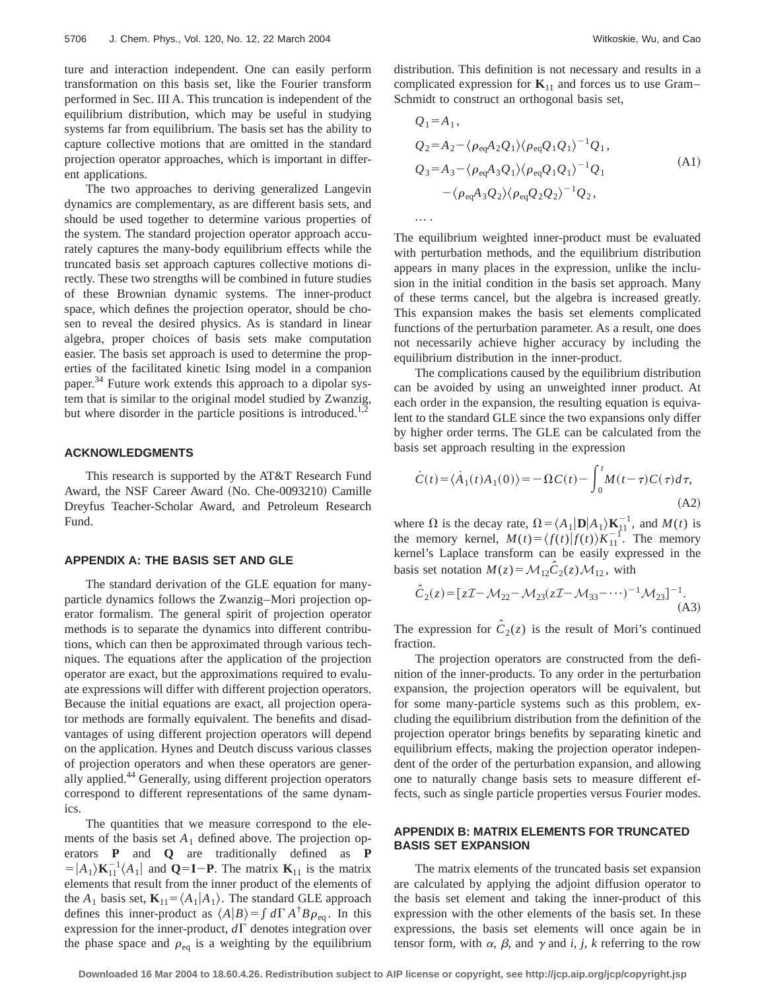ture and interaction independent. One can easily perform transformation on this basis set, like the Fourier transform performed in Sec. III A. This truncation is independent of the equilibrium distribution, which may be useful in studying systems far from equilibrium. The basis set has the ability to capture collective motions that are omitted in the standard projection operator approaches, which is important in different applications.

The two approaches to deriving generalized Langevin dynamics are complementary, as are different basis sets, and should be used together to determine various properties of the system. The standard projection operator approach accurately captures the many-body equilibrium effects while the truncated basis set approach captures collective motions directly. These two strengths will be combined in future studies of these Brownian dynamic systems. The inner-product space, which defines the projection operator, should be chosen to reveal the desired physics. As is standard in linear algebra, proper choices of basis sets make computation easier. The basis set approach is used to determine the properties of the facilitated kinetic Ising model in a companion paper.<sup>34</sup> Future work extends this approach to a dipolar system that is similar to the original model studied by Zwanzig, but where disorder in the particle positions is introduced.<sup>1,2</sup>

# **ACKNOWLEDGMENTS**

This research is supported by the AT&T Research Fund Award, the NSF Career Award (No. Che-0093210) Camille Dreyfus Teacher-Scholar Award, and Petroleum Research Fund.

#### **APPENDIX A: THE BASIS SET AND GLE**

The standard derivation of the GLE equation for manyparticle dynamics follows the Zwanzig–Mori projection operator formalism. The general spirit of projection operator methods is to separate the dynamics into different contributions, which can then be approximated through various techniques. The equations after the application of the projection operator are exact, but the approximations required to evaluate expressions will differ with different projection operators. Because the initial equations are exact, all projection operator methods are formally equivalent. The benefits and disadvantages of using different projection operators will depend on the application. Hynes and Deutch discuss various classes of projection operators and when these operators are generally applied.44 Generally, using different projection operators correspond to different representations of the same dynamics.

The quantities that we measure correspond to the elements of the basis set  $A_1$  defined above. The projection operators **P** and **Q** are traditionally defined as **P**  $=$  $|A_1\rangle$ **K**<sub>11</sub><sup>-1</sup> $\langle A_1|$  and **Q=I-P**. The matrix **K**<sub>11</sub> is the matrix elements that result from the inner product of the elements of the  $A_1$  basis set,  $\mathbf{K}_{11} = \langle A_1 | A_1 \rangle$ . The standard GLE approach defines this inner-product as  $\langle A|B \rangle = \int d\Gamma A^{\dagger}B \rho_{eq}$ . In this expression for the inner-product,  $d\Gamma$  denotes integration over the phase space and  $\rho_{eq}$  is a weighting by the equilibrium distribution. This definition is not necessary and results in a complicated expression for  $K_{11}$  and forces us to use Gram– Schmidt to construct an orthogonal basis set,

$$
Q_1 = A_1,
$$
  
\n
$$
Q_2 = A_2 - \langle \rho_{eq} A_2 Q_1 \rangle \langle \rho_{eq} Q_1 Q_1 \rangle^{-1} Q_1,
$$
  
\n
$$
Q_3 = A_3 - \langle \rho_{eq} A_3 Q_1 \rangle \langle \rho_{eq} Q_1 Q_1 \rangle^{-1} Q_1
$$
  
\n
$$
- \langle \rho_{eq} A_3 Q_2 \rangle \langle \rho_{eq} Q_2 Q_2 \rangle^{-1} Q_2,
$$
  
\n...

The equilibrium weighted inner-product must be evaluated with perturbation methods, and the equilibrium distribution appears in many places in the expression, unlike the inclusion in the initial condition in the basis set approach. Many of these terms cancel, but the algebra is increased greatly. This expansion makes the basis set elements complicated functions of the perturbation parameter. As a result, one does not necessarily achieve higher accuracy by including the equilibrium distribution in the inner-product.

The complications caused by the equilibrium distribution can be avoided by using an unweighted inner product. At each order in the expansion, the resulting equation is equivalent to the standard GLE since the two expansions only differ by higher order terms. The GLE can be calculated from the basis set approach resulting in the expression

$$
\dot{C}(t) = \langle \dot{A}_1(t)A_1(0) \rangle = -\Omega C(t) - \int_0^t M(t-\tau)C(\tau)d\tau,
$$
\n(A2)

where  $\Omega$  is the decay rate,  $\Omega = \langle A_1 | \mathbf{D} | A_1 \rangle \mathbf{K}_{11}^{-1}$ , and  $M(t)$  is the memory kernel,  $M(t) = \langle f(t) | f(t) \rangle K_{11}^{-1}$ . The memory kernel's Laplace transform can be easily expressed in the basis set notation  $M(z) = M_{12}C_2(z)M_{12}$ , with

$$
\hat{C}_2(z) = [z\mathcal{I} - \mathcal{M}_{22} - \mathcal{M}_{23}(z\mathcal{I} - \mathcal{M}_{33} - \cdots)^{-1} \mathcal{M}_{23}]^{-1}.
$$
\n(A3)

The expression for  $\hat{C}_2(z)$  is the result of Mori's continued fraction.

The projection operators are constructed from the definition of the inner-products. To any order in the perturbation expansion, the projection operators will be equivalent, but for some many-particle systems such as this problem, excluding the equilibrium distribution from the definition of the projection operator brings benefits by separating kinetic and equilibrium effects, making the projection operator independent of the order of the perturbation expansion, and allowing one to naturally change basis sets to measure different effects, such as single particle properties versus Fourier modes.

# **APPENDIX B: MATRIX ELEMENTS FOR TRUNCATED BASIS SET EXPANSION**

The matrix elements of the truncated basis set expansion are calculated by applying the adjoint diffusion operator to the basis set element and taking the inner-product of this expression with the other elements of the basis set. In these expressions, the basis set elements will once again be in tensor form, with  $\alpha$ ,  $\beta$ , and  $\gamma$  and *i*, *j*, *k* referring to the row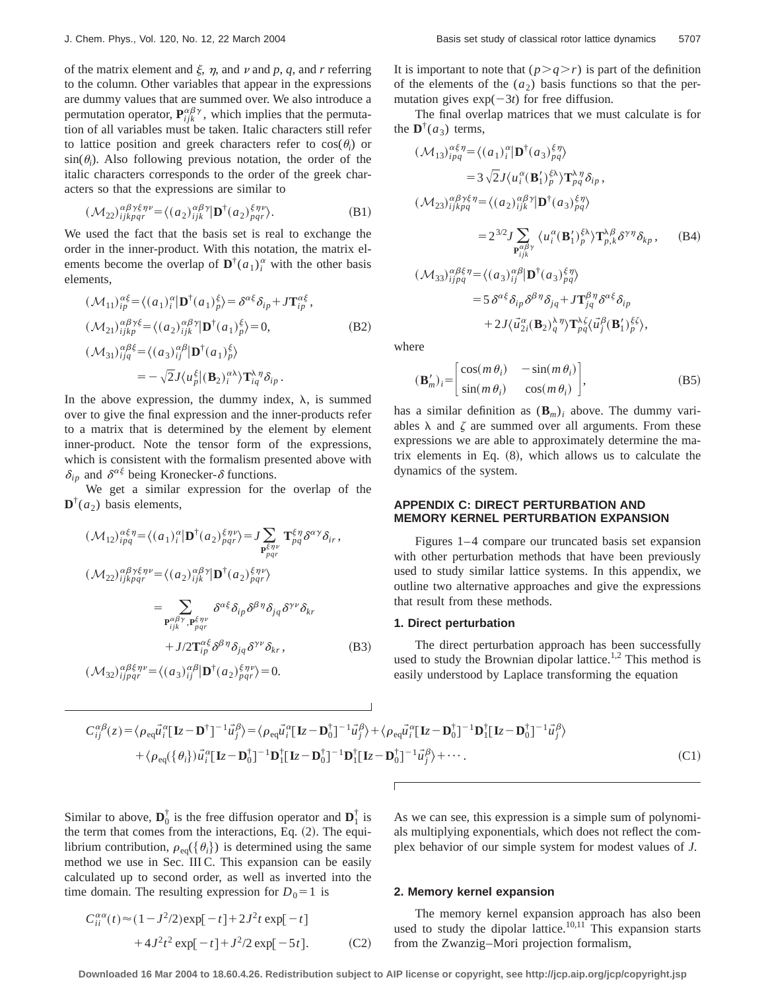of the matrix element and  $\xi$ ,  $\eta$ , and  $\nu$  and  $p$ ,  $q$ , and  $r$  referring to the column. Other variables that appear in the expressions are dummy values that are summed over. We also introduce a permutation operator,  $\mathbf{P}_{ijk}^{\alpha\beta\gamma}$ , which implies that the permutation of all variables must be taken. Italic characters still refer to lattice position and greek characters refer to  $cos(\theta_i)$  or  $\sin(\theta_i)$ . Also following previous notation, the order of the italic characters corresponds to the order of the greek characters so that the expressions are similar to

$$
(\mathcal{M}_{22})^{\alpha\beta\gamma\xi\eta\nu}_{ijk\rhoqr} = \langle (a_2)^{\alpha\beta}_{ijk} | \mathbf{D}^{\dagger}(a_2)^{\xi\eta\nu}_{pqr} \rangle. \tag{B1}
$$

We used the fact that the basis set is real to exchange the order in the inner-product. With this notation, the matrix elements become the overlap of  $\mathbf{D}^{\dagger}(a_1)^{\alpha}$  with the other basis elements,

$$
(\mathcal{M}_{11})_{ip}^{\alpha\xi} = \langle (a_1)_i^{\alpha} | \mathbf{D}^{\dagger} (a_1)_p^{\xi} \rangle = \delta^{\alpha\xi} \delta_{ip} + J \mathbf{T}_{ip}^{\alpha\xi},
$$
  
\n
$$
(\mathcal{M}_{21})_{ijkp}^{\alpha\beta\gamma\xi} = \langle (a_2)_{ijk}^{\alpha\beta\gamma} | \mathbf{D}^{\dagger} (a_1)_p^{\xi} \rangle = 0,
$$
  
\n
$$
(\mathcal{M}_{31})_{ijq}^{\alpha\beta\xi} = \langle (a_3)_{ij}^{\alpha\beta} | \mathbf{D}^{\dagger} (a_1)_p^{\xi} \rangle
$$
  
\n
$$
= -\sqrt{2} J \langle u_p^{\xi} | (\mathbf{B}_2)_i^{\alpha\lambda} \rangle \mathbf{T}_{iq}^{\lambda\eta} \delta_{ip}.
$$
  
\n(B2)

In the above expression, the dummy index,  $\lambda$ , is summed over to give the final expression and the inner-products refer to a matrix that is determined by the element by element inner-product. Note the tensor form of the expressions, which is consistent with the formalism presented above with  $\delta_{ip}$  and  $\delta^{\alpha\xi}$  being Kronecker- $\delta$  functions.

We get a similar expression for the overlap of the  $\mathbf{D}^{\dagger}(a_2)$  basis elements,

$$
(\mathcal{M}_{12})_{ipq}^{\alpha\xi\eta} = \langle (a_1)_i^{\alpha} | \mathbf{D}^{\dagger} (a_2)_p^{\xi\eta\nu} \rangle = J \sum_{\mathbf{P}_{pq}^{\xi\eta\nu}} \mathbf{T}_{pq}^{\xi\eta} \delta^{\alpha\gamma} \delta_{ir},
$$
  
\n
$$
(\mathcal{M}_{22})_{ijkpqr}^{\alpha\beta\gamma\xi\eta\nu} = \langle (a_2)_{ijk}^{\alpha\beta\gamma} | \mathbf{D}^{\dagger} (a_2)_p^{\xi\eta\nu} \rangle
$$
  
\n
$$
= \sum_{\mathbf{P}_{ijk}^{\alpha\beta\gamma} \mathbf{P}_{pq}^{\xi\eta\nu}} \delta^{\alpha\xi} \delta_{ip} \delta^{\beta\eta} \delta_{jq} \delta^{\gamma\nu} \delta_{kr},
$$
  
\n
$$
+ J/2 \mathbf{T}_{ip}^{\alpha\xi} \delta^{\beta\eta} \delta_{jq} \delta^{\gamma\nu} \delta_{kr},
$$
  
\n
$$
(\mathcal{M}_{32})_{ijpqr}^{\alpha\beta\xi\eta\nu} = \langle (a_3)_{ij}^{\alpha\beta} | \mathbf{D}^{\dagger} (a_2)_{pqr}^{\xi\eta\nu} \rangle = 0.
$$
  
\n(B3)

It is important to note that  $(p > q > r)$  is part of the definition of the elements of the  $(a_2)$  basis functions so that the permutation gives  $exp(-3t)$  for free diffusion.

The final overlap matrices that we must calculate is for the  $\mathbf{D}^{\dagger}(a_3)$  terms,

$$
(\mathcal{M}_{13})_{ipq}^{\alpha\xi\eta} = \langle (a_1)^{\alpha}_{i} | \mathbf{D}^{\dagger}(a_3)^{\xi\eta}_{pq} \rangle
$$
  
\n
$$
= 3 \sqrt{2} J \langle u_i^{\alpha} (\mathbf{B}'_1)^{\xi\lambda}_{p} \rangle \mathbf{T}^{\lambda\eta}_{pq} \delta_{ip},
$$
  
\n
$$
(\mathcal{M}_{23})_{ijkpq}^{\alpha\beta\gamma\xi\eta} = \langle (a_2)^{\alpha\beta}_{ijk} | \mathbf{D}^{\dagger}(a_3)^{\xi\eta}_{pq} \rangle
$$
  
\n
$$
= 2^{3/2} J \sum_{\mathbf{P}^{\alpha\beta\gamma}_{ijk}} \langle u_i^{\alpha} (\mathbf{B}'_1)^{\xi\lambda}_{p} \rangle \mathbf{T}^{\lambda\beta}_{p,k} \delta^{\gamma\eta} \delta_{kp}, \qquad (B4)
$$
  
\n
$$
(\mathcal{M}_{33})_{ijpq}^{\alpha\beta\xi\eta} = \langle (a_3)^{\alpha\beta}_{ij} | \mathbf{D}^{\dagger}(a_3)^{\xi\eta}_{pq} \rangle
$$
  
\n
$$
= 5 \delta^{\alpha\xi} \delta_{ip} \delta^{\beta\eta} \delta_{jq} + J \mathbf{T}^{\beta\eta}_{jq} \delta^{\alpha\xi} \delta_{ip}
$$
  
\n
$$
+ 2 J \langle \mathbf{u}_{2i}^{\alpha} (\mathbf{B}_2)^{\lambda\eta}_{q} \rangle \mathbf{T}^{\lambda\xi}_{pq} \langle \mathbf{u}_{j}^{\beta} (\mathbf{B}'_1)^{\xi\xi}_{p} \rangle,
$$

where

$$
(\mathbf{B}'_m)_i = \begin{bmatrix} \cos(m\,\theta_i) & -\sin(m\,\theta_i) \\ \sin(m\,\theta_i) & \cos(m\,\theta_i) \end{bmatrix},\tag{B5}
$$

has a similar definition as  $(\mathbf{B}_m)_i$  above. The dummy variables  $\lambda$  and  $\zeta$  are summed over all arguments. From these expressions we are able to approximately determine the matrix elements in Eq.  $(8)$ , which allows us to calculate the dynamics of the system.

# **APPENDIX C: DIRECT PERTURBATION AND MEMORY KERNEL PERTURBATION EXPANSION**

Figures 1–4 compare our truncated basis set expansion with other perturbation methods that have been previously used to study similar lattice systems. In this appendix, we outline two alternative approaches and give the expressions that result from these methods.

# **1. Direct perturbation**

The direct perturbation approach has been successfully used to study the Brownian dipolar lattice.<sup>1,2</sup> This method is easily understood by Laplace transforming the equation

$$
C_{ij}^{\alpha\beta}(z) = \langle \rho_{eq}\vec{u}_i^{\alpha}[\mathbf{I}z - \mathbf{D}^{\dagger}]^{-1}\vec{u}_j^{\beta} \rangle = \langle \rho_{eq}\vec{u}_i^{\alpha}[\mathbf{I}z - \mathbf{D}_0^{\dagger}]^{-1}\vec{u}_j^{\beta} \rangle + \langle \rho_{eq}\vec{u}_i^{\alpha}[\mathbf{I}z - \mathbf{D}_0^{\dagger}]^{-1}\mathbf{D}_1^{\dagger}[\mathbf{I}z - \mathbf{D}_0^{\dagger}]^{-1}\vec{u}_j^{\beta} \rangle
$$
  
+  $\langle \rho_{eq}(\{\theta_i\})\vec{u}_i^{\alpha}[\mathbf{I}z - \mathbf{D}_0^{\dagger}]^{-1}\mathbf{D}_1^{\dagger}[\mathbf{I}z - \mathbf{D}_0^{\dagger}]^{-1}\mathbf{D}_1^{\dagger}[\mathbf{I}z - \mathbf{D}_0^{\dagger}]^{-1}\vec{u}_j^{\beta} \rangle + \cdots$  (C1)

Similar to above,  $\mathbf{D}_0^{\dagger}$  is the free diffusion operator and  $\mathbf{D}_1^{\dagger}$  is the term that comes from the interactions, Eq.  $(2)$ . The equilibrium contribution,  $\rho_{eq}(\{\theta_i\})$  is determined using the same method we use in Sec. III C. This expansion can be easily calculated up to second order, as well as inverted into the time domain. The resulting expression for  $D_0=1$  is

As we can see, this expression is a simple sum of polynomials multiplying exponentials, which does not reflect the complex behavior of our simple system for modest values of 
$$
J
$$
.

#### **2. Memory kernel expansion**

 $C_{ii}^{\alpha\alpha}(t) \approx (1 - J^2/2) \exp[-t] + 2J^2t \exp[-t]$  $+4J^2t^2 \exp[-t]+J^2/2 \exp[-5t]$ . (C2)

The memory kernel expansion approach has also been used to study the dipolar lattice.<sup>10,11</sup> This expansion starts from the Zwanzig–Mori projection formalism,